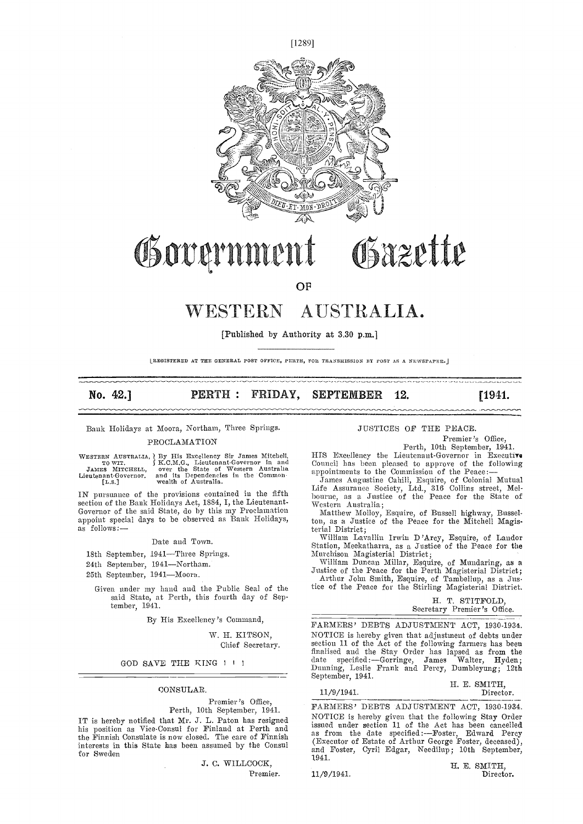

## Governme 11 l Osazette

AN

OF

# WESTERN AUSTRALIA.

[Published by Authority at 3.30 p.m.]

IREGISTERED AT THE GENERAL POST OFFICE, PERTH, FOR TRANSMISSION BY POST AS A NEWSPAPER.

# No. 42.] **PERTH: FRIDAY, SEPTEMBER 12.** [1941.]

Bank Holidays at Moora, Northam, Three Springs. PROCLAMATION

WESTERN AUSTRALIA, \ By His Excellency Sir James Mitchell, TOWIT.<br>
TOWIT. S. K.C.M.G., Lieutenant-Governor in and Could<br>
JAMES MITCHELL, over the State of Western Australia appendence in the Common.<br>
Lieutenant-Governor. a

mmmm

IN pursuance of the provisions contained in the fifth Governor of the said State, do by this my Proclamation appoint special days to be observed as Bank Holidays, as follows:-

#### Date and Town.

- 18th September, 1941-Three Springs.
- 24th September, 1941-Northam.
- 25th September, 1941-Moora.

Given under my hand and the Public Seal of the said State, at Perth, this fourth day of September, 1941.

By His Excellency's Command,

W. H. K1TSON, Chief Secretary.

GOD SAVE THE KING I ! I

#### CONSULAR.

Premier's Office.

Perth, 10th September, 1941. IT is hereby notified that Mr. J. L. Paton has resigned his position as Vice-Consul for Finland at Perth and the Finnish Consulate is now closed. The care of Finnish

> J. C. WILLCOCK, Premier.

#### JUSTICES OF THE PEACE.

Premier's Office,<br>Perth, 10th September, 1941.

HIS Excellency the Lieutenant-Governor in Executive Council has been pleased to approve of the following appointments to the Commission of the Peace:

appointments to the Commission of the Peace: James Augustine Cahill, Esquire, of Colonial Mutual Life Assurance Society, Ltd., 316 Collins street, Mel- bourne, as a Justice of the Peace for the State of Western Australia;

Matthew Molloy, Esquire, of Bnssell highway, Bussel-ton, as a Justice of the Peace for the Mitchell Magisterial District;<br>William Lavallin Irwin D'Arcy, Esquire, of Landor

William Lavallin Irwin D'Arcy, Esquire, of Landor<br>Station, Meekatharra, as a Justice of the Peace for the Murchison Magisterial District; William Duncan Millar, Esquire, of Mundaring, as a

Justice of tile Peace for the Perth Magisterial District; Arthur Joint Smith, Esquire, of Tambellup, as a Jus-

tice of the Peace for the Stirling Magisterial District.

|  | H. T. STITFOLD,             |  |  |
|--|-----------------------------|--|--|
|  | Secretary Premier's Office. |  |  |

FARMERS' DEBTS ADJUSTMENT ACT, 1930-1934.<br>NOTICE is hereby given that adjustment of debts under section 11 of the Act of the following farmers has been finalised and the Stay Order has lapsed as from the date specified:—Gorringe, James Walter, Hyden; date specified:-Gorringe, James Walter, Hyden; Dunning, Leslie Frank and Percy, Dumbleyung; 12th September, 1941.<br>
H. E. SMITH,<br>
11/9/1941.<br>
H. E. SMITH,<br>
Director.

#### 11/9/1941.

interests in this State has been assumed by the Consul (Executor of Estate of Arthur George Foster, deceased),<br>for Sweden and Toster, Cyril Edgar, Needilup; 10th September, FARMERS' DEBTS ADJUSTMENT ACT, 1930-1934. NOTICE is hereby given that the following Stay Order issued under section 11 of the Act has been cancelled as from the date specified :---Foster, Edward Percy (Executor of Estate of Arthur George Foster, deceased), and Foster, Cyril Edgar, Needilup; 10th September, 1941.

11/9/1941.

H. E. SMITH,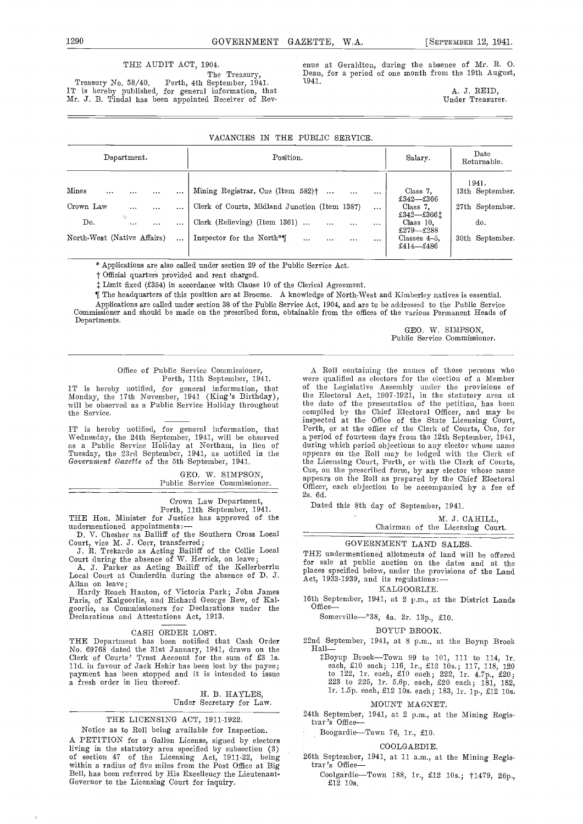#### THE AUDIT ACT, 1904.

The Treasury,<br>Perth, 4th September, 1941. Treasury No. 58/40. Perth, 4th September, 1941. IT is hereby published, for general information, that Mr. J. B. Tindal has been appointed Receiver of Revenue at Geraldton, during the absence of Mr. B. 0. Dean, for a period of one month froni the 19th August, 1941.

> A. J. REID, Under Treasurer.

| THE PUBLIC SERVICE.<br><b>VACANCIES</b><br>$_{\rm IN}$                                                                                              |                                                                                                                                                                                                                                                                                                               |                                                                                                               |                                                                       |  |  |  |
|-----------------------------------------------------------------------------------------------------------------------------------------------------|---------------------------------------------------------------------------------------------------------------------------------------------------------------------------------------------------------------------------------------------------------------------------------------------------------------|---------------------------------------------------------------------------------------------------------------|-----------------------------------------------------------------------|--|--|--|
| Department.                                                                                                                                         | Position.                                                                                                                                                                                                                                                                                                     | Salary.                                                                                                       | Date<br>Returnable.                                                   |  |  |  |
| Mines<br>$\cdots$<br>$\cdots$<br>$\cdots$<br>Crown Law<br>$\cdots$<br>$\cdots$<br>Ag-<br>Do.<br>$\cdots$<br>$\cdots$<br>North-West (Native Affairs) | Mining Registrar, Cue (Item 582) <sup>+</sup><br>$\ldots$<br>$\cdots$<br>$\cdots$<br>Clerk of Courts, Midland Junction (Item 1387)<br>$\cdots$<br>Clerk (Relieving) (Item $1361$ )<br>$\ddots$<br>$\cdots$<br>$\cdots$<br><br>Inspector for the North*<br>$\ddotsc$<br>$\ddotsc$<br>$\cdots$<br>$\ddotsc$<br> | Class 7.<br>£342—£366<br>Class 7.<br>£342-£3661<br>Class 10.<br>£279—£288<br>Classes $4-5$ ,<br>£414 $-$ £486 | 1941.<br>13th September.<br>27th September.<br>do.<br>30th September. |  |  |  |

\* Applications are also called under section 29 of the Public Service Act.

t Official quarters provided and rent charged.

Limit fixed (354) in accordance with Clause 10 of the Clerical Agreement.

¶ The headquarters of this position are at Broome. A knowledge of North-West and Kimberley natives is essential. Applications are called under section 38 of the Public Service Act, 1904, and are to be addressed to the Pabhie Service Commissioner and should be made on the prescribed form, obtainable from the offices of the various Permanent Heads of Departments.

GEO. W. SIMPSON, Public Service Commissioner.

#### Office of Public Service Commissioner, Perth, 11th September, 1941.

the Service.

IT is hereby notified, for general information, that Pertl<br>Wednesday, the 24th September, 1941, will be observed a per<br>as a Public Service Holiday at Northam, in lieu of durir Tuesday, the 23rd September, 1941, as notified in the app<br>Government Gazette of the 5th September, 1941. the

> GEO. W. SIMPSON, Public Service Commissioner.

Crown Law Department,<br>
Perth, 11th September, 1941. Date<br>
THE Hon. Minister for Justice has approved of the<br>
undermentioned appointments: undermentioned appointments: —<br>D. V. Chesher as Bailiff of the Southern Cross Local

Court, vice M. J. Corr, transferred;

J. R. Trekardo as Acting Bailiff of the Collie Local<br>
Court during the absence of W. Herrick, on leave;<br>
A. J. Parker as Acting Bailiff of the Kellerberrin<br>
Local Court at Cunderdin during the absence of D. J.<br>
Allan on le

Paris, of Kalgoorlie, and Richard George Rew, of Kalgoorlie, as Commissioners for Declarations under the Declarations and Attestations Act, 1913.

CASH ORDER LOST.<br>THE Department has been notified that Cash Order The Department has been notified that Cash Order No. 69768 dated the 31st January, 1941, drawn on the Chall-Clerk of Courts' Trust Account for the sum of £3 is.  $\ddot{x}$ B is.  $\ddot{x}$ B is.  $\ddot{x}$ B is. payment has been stopped and it is intended to issue a fresh order in lieu thereof.

#### H. B. HAYLES, Under Secretary for Law.

#### THE LICENSING ACT, 1911-1922.

Notice as to Roll being available for Inspection. A PETITION for a Gallon License, signed by electors living in the statutory area specified by subsection (3)<br>of section 47 of the Licensing Act, 1911-22, being 26th<br>within a radius of five miles from the Post Office at Big tra<br>Bell, has been referred by His Excellency the L Bell, has been referred by His Excellency the Lieutenant-Governor to the Licensing Court for inquiry.

IT is hereby notified, for general information, that of the Legislative Assembly under the provisions of Monday, the 17th November, 1941 (King's Birthday), the Electoral Act, 1907-1921, in the statutory area at will be obs A Boll containing the names of those persons who were qualified as electors for the election of a Member of the Legislative Assembly under the provisions of the Electoral Act, 1907-1921, in the statutory area at the date of the presentation of the petition, has been compiled by the Chief Electoral Officer, and may be inspected at the Office of the State Licensing Court, Perth, or at the office of the Clerk of Courts, Cue, for Perth, or at the office of the Clerk of Courts, Cue, for a period of fourteen days from the 12th September, 1941, during which period objections to any elector whose name appears on the Roll may be lodged with the Clerk of the Licensing Court, Perth, or with the Clerk of Courts, Cue, on the prescribed forni, by any elector whose name appears on the Roll as prepared by the Chief Electoral oppears on the Roll as prepared by the Chief Electoral

Dated this 8th day of September, 1941.

M. J. CAHILL,

### Chairman of the Licensing Court.

#### GOVERNMENT LAND SALES

THE undermentioned allotments of land will be offered for sale at public auction on the dates and at the places specified below, under the provisions of the Land<br>Act, 1933-1939, and its regulations:-

#### KALGOORLIE.

16th September, 1941, at 2 p.m., at the District Lands Office-

## Somerville-\*38, 4a. 2r. 13p., £10.

BOYUP BROOK.

22nd September, 1941, at 8 p.m., at the Boyup Brook<br>
Hall-<br>
<sup>2</sup>Boyup Brook-Town 99 to 101, 111 to 114, 1r.

Boyup Brook-Town 99 to 101, 111 to 114, 1r. each, £10 each; 116, 1r., £12 10s.; 117, 118, 120 to 122, 1r. each, £10 each; 222, 1r. 4.7p., £20;<br>223 to 225, 1r. 5.6p. each, £20 each; 181, 182,<br>1r. 1.5p. each, £12 10s. each; 183, 1r. lp., £12 10s.

#### MOUNT MAGNET.

24th September, 1941, at 2 p.m., at the Mining Registrar's Office-

Boogardie-Town 76, 1r., £10.

#### COOLGARDIE.

26th September, 1941, at 11 a.m., at the Mining Regis- $\text{trar}$ 's Office-

Coolgardie-Town 188, 1r., £12 10s.; †1479, 26p., £12 lOs.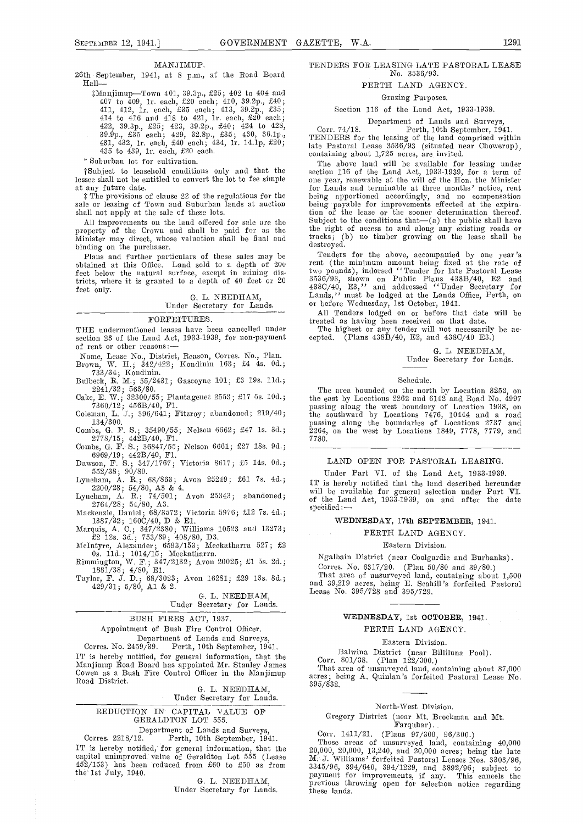#### MANJIMUP.

26th September, 1941, at 8 p.m., at the Road Board<br>  $Hall$   $\ddots$   $\ddot{x}$   $\ddot{x}$   $\ddot{y}$   $\dddot{x}$   $\dddot{x}$   $\dddot{x}$   $\dddot{x}$   $\dddot{x}$   $\dddot{x}$   $\dddot{x}$   $\dddot{x}$   $\dddot{x}$   $\dddot{x}$   $\dddot{x}$   $\dddot{x}$   $\dddot{x}$   $\dddot{x}$   $\dddot{x}$   $\dddot{x}$   $\dddot{x}$ 

4ManjirnupTown 401, 3O.3p., £25; 402 to 404 and 407 to 409, ir. each, £20 each; 410, 39.2iJ., £40; 411, 412, lr. each, £35 each; 413, 39.2p., £35; 414 to 416 and 418 to 421, ir. each, £20 each; 414 to 410 and 418 to 425, 422, 11. each,  $\lambda$ 20 each; 420, 428, 39.9p., £35, 430, 36.lp., 431, 432, lr. each, £40 each; 434, lr. 14.lp, £20; 435 to 439, lr. each, £20 each.

Suburban lot for cultivation.

at any future date.<br> **The provisions of clause 22 of the regulations for the** sale or leasing of Town and Suburban lands at auction being shall not apply at the sale of these lots.

All improvements on the land offered for sale are the  $\frac{\text{Subj}}{\text{top}}$ <br>property of the Crown and shall be paid for as the the l Minister may direct, whose valuation shall be final and  $\frac{\text{tracks}}{\text{death}}$ binding on the purchaser.<br>Plans and further particulars of these sales may be

Plans and further particulars of these sales may be Ten<br>obtained at this Office. Land sold to a depth of 200 feet below the natural surface, except in mining districts, where it is granted to a depth of 40 feet or 20  $3536/$ feet only. <br> G. L. NEEDHAM,

# G. L. NEEDHAM, Under Secretary for Lands.

#### FORFEITURES.

THE undermentioned leases have been cancelled under The I section 23 of the Land Act. 1933-1939, for non-payment cepted. section 23 of the Land Act, 1933-1939, for non-payment of rent or other reasons:

Name, Lease No., District, Reason, Corres. No., Plan.

Brown, W. II.; 342/422; Kondinin 163; £4 4s. 00.; 733/34; Kondinin.

Cake, E. W.; 32300/55; Plantagenet 2553; £17 5s. 10d.;  $7360/12$ ; 456B/40, Fl.

Coleman, L. J.; 396/641; Fitzroy; abandoned; 219/40;  $134/300.$ 

Combs, G. F. 5.; 35490/55; Nelson (5662; £47 Js. 3d.;  $2778/15;\;442 \text{B}/40,\;\text{F1}$  ,

Combs, G. F. S.; 36847/55; Nelson 6661; £27 18s. 9d.;

6969/19; 442B/40, El. Dawson, F. S.; 347/1767; Victoria 8617; £5 14s. 00.;

552/38; 90/80. Lyneliam, A. 1k.; 68/863; Avon 25249; £61 7s. 40.;

2200/28; 54/80, A3 & 4. Lyneham, A. H.; 74/501; Avon 25343; nbandoned;  $2764/28\,;\;\; 54/80,\;\mathrm{A}3.$ 

Mackenzie, Daniel; 68/3572; Victoria 5976; £12 7s. 40.; 1337/32; 160C/40, D & El.

Marquis, A. C.; 347/2380; Williams 10523 and 13273; £2 12s. 3d.; 753/39; 408/80, D3.

McIntyre, Alexander; 6593/153; Meekatharra 527; £2 Os. 110.; 1014/15; Meekatliarra.

Rimnmiugton, W. F.; 347/2132; Avon 20025; £1 5s. 20.; 1881/38; 4/80, El. Taylor, F. J. D.; 63/3023; Avon 16281; £29 l3s. 8d.; 429/31; 5/80, Al & 2.

G. L. NEEDHAM,

# Under Secretary for Lands.

#### BUSH FIRES ACT, 1937.

Appointment of Bush Fire Control Officer. Department of Lands and Surveys<br>Corres. No. 2459/39. Perth, 10th September, 19

Perth, 10th September, 1941. IT is hereby notified, for general information, that the Manjimup Road Board has appointed Mr. Stanley James Cowen as a Bush Fire Control Officer in the Manjimup Road District.

G. L. NEEDHAM, Under Secretary for Lands.

#### REDUCTION IN CAPITAL VALUE OF GERALDTON LOT 555.

Department of Lands and Surveys, Corres. 2218/12. Perth, 10th September, 1941.

IT is hereby notified, for general information, that the 452/153) has been reduced from £60 to £50 as from the' 1st July, 1940.

G. L. NEEDHAM, Under Secretary for Lands.

#### TENDERS FOR LEASING LATE PASTORAL LEASE No. 3536/93.

#### PERTH LAND AGENCY.

Grazing Purposes.

Section 116 of the Land Act, 1933-1939.

Department of Lands and Surveys,<br>Corr. 74/18. Perth, 10th September, 1941.<br>TENDERS for the leasing of the land comprised within late Pastoral Lease 3536/93 (situated near Chowerup), containing about 1,725 acres, are invited.

Suburban lot for cultivation.<br>
The above land will be available for leasing under<br>
Foubject to leasehold conditions only and that the section 116 of the Land Act, 1933-1939, for a term of<br>
lessee shall not be entitled to c The above land will be available for leasing under section 116 of the Land Act, 1933-1939, for a term of one year, renewable at the will of the Hon. the Minister for Lands and terminable at three months' notice, rent being apportioned accordingly, and no compensation being payable for improvements effected at the expiration of the lease or the sooner determination thereof. Subject to the conditions that—(a) the public shall have<br>the right of access to and along any existing roads or tracks; (b) no tiniber growing on the lease shall be destroyed.

Tenders for the above, accompanied by one year's rent (the minimum amount being fixed at the rate of two pounds), indorsed ''Tender for late Pastoral Lease 3536/93, shown on Public Plans 438B/40, E2 and 438C/40, E3,'' and addressed ''Under Secretary for Lands,'' must he lodged at the Lands Office, Perth, on or before Wednesday, 1st October, 1941.

All Tenders lodged on or before that date will be treated as having been received on that date.

The highest or any tender will not necessarily be ac- $(Plans 438B/40, E2, and 438C/40 E3.)$ 

> G. L. NEEDHAM, Under Secretary for Lands.

#### Schedule.

Bulbeck, R. M.; 55/2431; Gascoyne 101; £3 19s. 11d.; <br>2241/32; 563/80. <br>2241/32; 563/80. The area bounded on the north by Location 8252, on<br>2241/32; 563/80. The east by Locations 2262 and 6142 and Road No. 4997 The area bounded on the north by Location 8252, on passing along the west boundary of Location 1938, on the southward by Locatiomss 7476, 10444 and a road passing along the boundaries of Locations 2737 and 2264, on the west by Locations 1849, 7778, 7779, and 7780.

#### LAND OPEN FOR PASTORAL LEASING.

Under Part VI. of the Land Act, 1933-1939.<br>IT is hereby notified that the land described hereunder will be available for general selection under Part VI. of the Land Act, 1933-1939, on and after the date  $s$ pe $\ddot{\text{e}}$ ified :

#### WEDNESDAY, 17th SEPTEMBER, 1941.

PERTH LAND AGENCY.

#### Eastern Division.

Ngalbain District (near Coolgardie and Burbanks).

Corres. No. 6317/20. (Plan 50/80 and 39/80.) That area of unsurveyed land, containing about 1,500 and 39,219 acres, being E. Sealull 's forfeited Pastoral Lease No. 395/728 and 395/729.

## WEDNESDAY, 1st OCTOBER, 1941.

#### PERTH LAND AGENCY.

#### Eastern Division.

Balwina District (near Bilhiluna Pool). Corr. 801/38. (Plan 122/300.)

That area of unsurveyed land, containing about 87,000 acres; being A. Quinlan's forfeited Pastoral Lease No. 3 95/83 2.

#### North-West Division.

Gregory District (near Mt. Brockman and Mt.<br>Farquhar).<br>Corr. 1411/21. (Plans 97/300. 96/300.)

Corr. 1411/21. (Plans 97/300, 96/300.)<br>Those areas of unsurveyed land, containing 40,000 20,000, 20,000, 13,240, and 20,000 acres; being the hate M. J. Williams' forfeited Pastoral Leases Nos. 3303/96, 3345/96, 394/640, 394/1229, and 3892/96; subject to payment for improvements, if any. This cancels the previous throwing open for selection notice regarding these lands.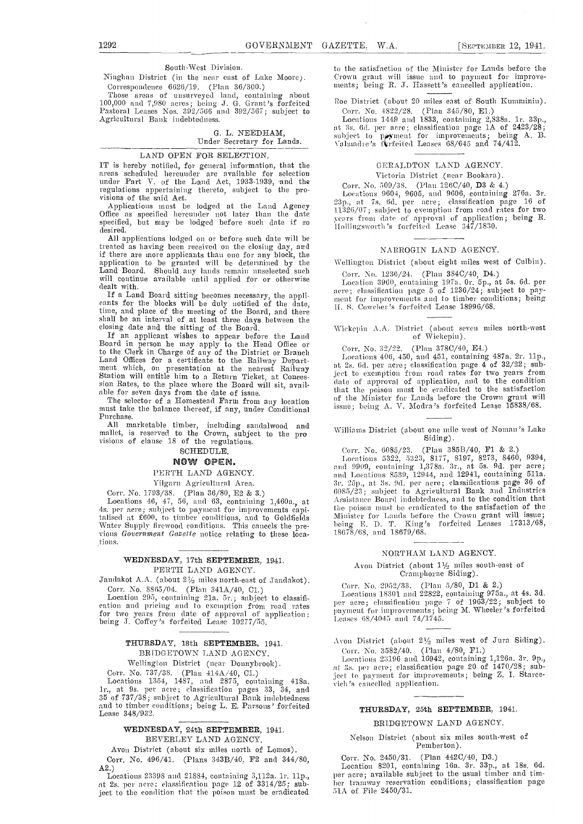#### South-West Division.

Ninghan District (in the near east of Lake Moore). Correspondence 6626/19. (Plan 36/300.)

Those areas of uusurveyed laud, containing about 100,000 and 7,980 acres; being J. 0. Grant's forfeited Pastoral Leases Nos. 392/566 and 392/567; subject to Agricultural Bank indebtedness.

### 0. L. NEEDHAM,

#### Under Secretary for Lands.

#### LAND OPEN FOR SELECTION.

IT is hereby notified, for general information, that the areas scheduled hereunder are available for selection<br>under Part V. of the Land Act, 1933-1939, and the regulations appertaining thereto, subject to the pro- visions of the said Act. visions of the said Act.<br>Applications must be lodged at the Land Agency

Office as specified hereunder not later than the date specified, but may be lodged before such date if so  $M_{\rm H}^{\rm C1}$ 

All applications lodged on or before such date will be treated as having been received on the closing day, and if there are more applicants than one for any block, the application to be granted will be determined by the Land Board. Should any lands remain unselected such will continue available until applied for or otherwise will continue available until applied for or otherwise Like

If a Land Board sitting becomes necessary, the appli-<br>cants for the blocks will be duly notified of the date, time, and place of the meeting of the Board, and there shell be an interval of at least three days between the

closing date and the sitting of the Board. If an applicant wishes to appear before the Land<br>Board in person he may apply to the Head Office or to the Clerk in Charge of any of the District or Branch<br>
Land Offices for a certificate to the Railway Depart-<br>
ment which, on presentation at the nearest Railway it 2s<br>
Station will entitle him-to a Return Ticket, at Con

sion Rates, to the place where the Board will sit, avail-<br>able for seven days from the date of issue. The selector of a Homestead Farm from any location must take the balance thereof, if any, under Conditional issue<br>Purcha

All marketable timber, including sandalwood and mallet, is reserved to the Crown, subject to the pro visions of clause 18 of the regulations.

# SCHEDULE.<br>NOW OPEN.

#### PERTH LAND AGENCY.

Vilgarn Agricultural Area.

Corr. No. 1793/38. (Plan 36/SO, E2 & 3.) Locutions 46, 47, 56, and 63, containing l,460a., at 4s. per acre; subject to payment for improvements capitalised at £600, to timber conditions, and to Goldfields<br>Water Supply firewood conditions. This cancels the previous Government Gazette notice relating to these locations.

#### WEDNESDAY, 17th SEPTEMBER, 1941. PERTH LAND AGENCY.

Jandakot A.A. (about  $2\frac{1}{2}$  miles north-east of Jandakot).<br>Corr. No. 8865/04. (Plan  $341A/40$ , C1.)

Location 295, containing 21a. 5r.; subject to classification and pricing and to exemption from road rates  $p_e$ for two years from date of approval of application being J. Coffey's forfeited Lease 10277/55.

#### THURSDAY, 18th SEPTEMBER, 1941. BRIDGETOWN LAND AGENCY.

Wellington District (near Donnybrook).

Corr. No. 737/38. (Plan 414A/40, Cl.)<br>Locations 1354, 1487, and 2875, containing 418a.<br>1r., at 9s. per acre; classification pages 33, 34, and 35 of 737/38; subject to Agrienitural Bank indebtedness and to timber conditions; being L. E. Parsons' forfeited Lease 348/932.

#### WEDNESDAY, 24th SEPTEMBER, 1941. BEVERLEY LAND AGENCY.

Avon District (about six miles north of Lomos). Corr. No. 496/41. (Plans 343B/40. P2 and 344/80,

A2.) Locations 23398 and 21884, containing 3,112a. lr. lip., at 2s. per acre; classification page 12 of 3314/25; subject to the condition that the poison must be eradicated

to the satisfaction of the Minister for Lands before the Crown grant will issue and to payment for improve-<br>ments; being R. J. Hassett's cancelled application.

Roe District (about 20 miles east of South Kumminin). Corr. No. 4822/28. (Plan 345/80, E1.)

Locations 1449 and 1833, containing 2,838a. 1r. 33p., at 3s, 6d. per acre; classification page 1A of 2423/28; subject to poyment for improvements; being A. B. Valmadre's furfeited Leases 68/645 and 74/412.

### GERALDTON LAND AGENCY.

Victoria District (near Bookara).

Corr. No. 509/38. (Plan 126C/40, D3 & 4.)<br>Locations 9604, 9605, and 9606, containing 276a. 3r. Locations 9604, 9605, and 9606, containing 276a. 3r. 23p., at 7s. 6d. per acre; classification page 16 of 11326/07; subject to exemption from road rates for two years from date of approval of application; being R. Hollingsworth's forfeited Lease 347/1830.  $\sim$ 

#### NARROGIN LAND AGENCY.

Wellington District (about eight miles west of Oulbin).

Corr.N o. 1236/24. (Plan 384C/40, D4.)

Location 3960, containing 197a. Or. 5p., at 5s. 6d. per acre; classification page 5 of 1236/24; subject to pay-<br>ment for improvements and to timber conditions; being ment for improvements and to timber conditions; being H. S. Cowcher's forfeited Lease 18996/68.

# Wickepin A.A. District (about seven miles north-west of Wickepin).

Corr. No. 32/22. (Plan 378C/40, E4.)<br>Locations 406, 450, and 451, containing 487a. 2r. 11p., Locations 406, 450, and 451, containing 487a. 2r. 11p., at 2s. 6d. per acre; classification page 4 of 32/22; subject to exemption from road rates for two years from date of approval of application, and to the condition that the poison must be eradicated to the satisfaction of the Minister for Lands before the Crown grant will issue; being A. V. Modra 's forfeited Lease 15838/68.

Williams District (about one mile. west of Noman 's Lake Siding).

Corr. No.  $6085/23$ . (Plan  $385B/40$ , F1 & 2.)

Locations 5322, 5323, 8177, 8197, 8273, 8460, 9394,<br>and 9909, containing 1,378a. 3r., at 5s. 9d. per acre;<br>and Locations 8539, 12944, and 12941, containing 511a.<br>3r. 25p., at 3s. 9d. per acre; classifications page 36 of<br>6 the poison must be eradicated to the satisfaction of the Minister for Lands before the Crown grant will issue;<br>being E. D. T. King's forfeited Leases 17313/68, 18678/68, and 18679/68.

#### NGRTHAM LAND AGENCY.

Avon District (about 11/2 miles south-east of Cramphorne Siding).

Corr. No. 2952/33. (Plan 5/80, D1 & 2.)<br>Locations 18301 and 22822, containing 975a., at 4s. 3d. Locations 18301 amid 22822, containing 975a., at 4s. 3d. per acre; classification page. 7 of 1963/22; subject to 1neymncnt foe' improvements; being M. Wheeler's forfeited Leases  $68/4045$  and  $74/1745$ .

Avon District (about  $2\frac{1}{2}$  miles west of Jura Siding).

Corr. No. 3582/40. (Plan 4/80, F1.)<br>Locations 23196 and 16942, containing 1,126a. 3r. 9p., Locations 23196 and 16942, containing 1,126a. 3r, Pp., at Is. per acre; classification page 20 of 1470/28; subject to payment for improvements; being Z. I. Starcevichi 's cancelled application.

#### THURSDAY, 25th SEPTEMBER, 1941.

#### BRIDGETOWN LAND AGENCY.

Nelson District (about six miles south-west of Pemberton).

Corr. No. 2450/31. (Plan 442C/40, D3.)<br>Location 8201, containing 16a. 3r. 33p., at 18s. 6d.<br>per acre; available subject to the usual timber and timber tramway reservation conditions; classification page 51A of File 2450/31.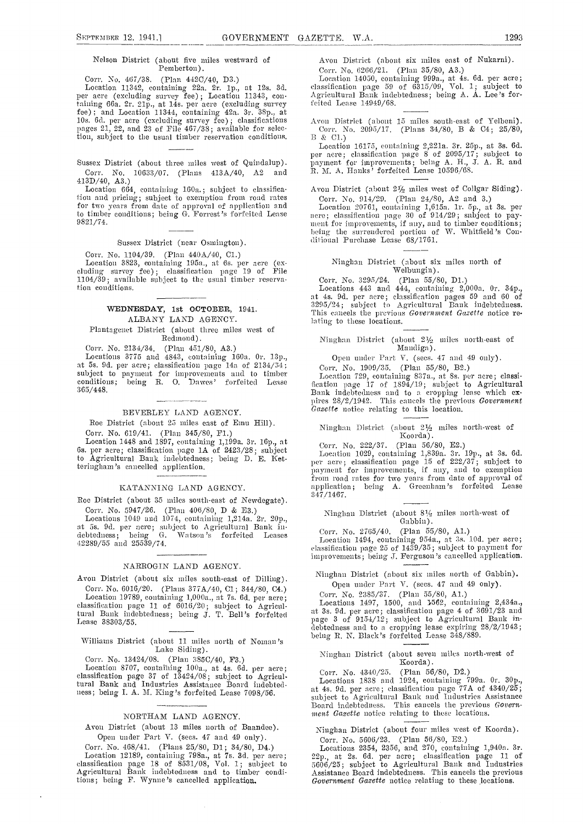#### Nelson District (about five miles westward of Pemberton).

Corr. No. 467/38. (Plan 442C/40, D3.) Location 11342, contaiuing 22a. 2r. ip., at 12s. 3d. per acre (excluding survey fee) ; Location 11343, containing 66a. 2r. 21p., at 14s. per acre (excluding survey feite fee); and Location 11344, containing 42a. 3r. 38p., at 10s. 6d. per acre (excluding survey fee); classifications  $\hskip 10mm \text{A}$ pages 21, 22, and 23 of File 467/38; available for selection, subject to the usual timber reservation conditions.

Sussex District (about three miles west of Quindalup). Corr. No. 10633/07. (Plans 413A/40, A2 and 413D/40, A3.)

Location 664, containing 160a.; subject to classification and pricing; subject to exemption from road rates for two years from date of approval of application and  $\qquad \qquad$   $\rm L_{0}$ to timber conditions; being  $G$ . Forrest's forfeited Lease  $\overline{\phantom{a}}$  acre 9821/74.

#### Sussex District (near Osmington).

Corr. No. 1104/39. (Plan 440A/40, C1.)<br>Location 3823, containing 195a., at 6s. per acre (excluding survey fee) ; classification page 19 of File 1104/39; available subject to the usual timber reservation conditions.

#### WEDNESDAY, 1st OCTOBER, 1941. ALBANY LAND AGENCY.

Plantagenet District (about three miles west of Redmond).

Corr. No. 2134/34. (Plan 451/80, A3.)<br>Locations 3775 and 4843, containing 160a. 0r. 13p.,<br>at 5s. 9d. per acre; classification page 14a of 2134/54; at 58. 9d. per acre; classification page 14a of 2134/34; Corr. No. 1909/35.<br>subject to payment for improvements and to timber conditions; being R. O. Dawes' forfeited Lease fication page 17 of 1 365/448.

#### BEVERLEY LAND AGENCY.

Roe District (about 25 miles east of Emu Hill).

Corr. No. 619/41. (Plan 345/80, F1.)<br>Location 1448 and 1897, containing 1,199a. 3r. 16p., at 68. per acre; classification page 1A of 2423/28; subject to Agricultural Bank indebtedness; being D. E. Netteringham 's cancelled application.

#### KATANNING LAND AGENCY.

Roe District (about 35 miles south-east of Newdegate).

Corr. No. 5947/26. (Plan 406/80, D & E3.)<br>Locations 1049 and 1074, containing 1,214a. 2r. 20p., Locations 1049 and 1074, containing 1,214a. 2r. 2Op., at 5s. 9d. per acre; subject to Agricultural Bank indebtedness; being G. Watson's forfeited Leases<br>42289/55 and 25539/74.

#### NARROGIN LAND AGENCY.

Avon District (about six miles south-east of Dilling). Corr. No. 6016/20. (Plans 377A/40, Cl; 344/80, C4.)

Location 19789, containing l,000a., at 7s. Gd. per acre; classification page 11 of 6016/20; subject to Agricultural Bank indebtedness; being J. T. Bell's forfeited at 3s.<br>Lease 38303/55. page

# Lake Siding).

Corr. No. 13424/08. (Plan 385C/40, F3.)

Location 8707, containing lOQa., at 45. Gd. per acre; classification page 37 of 13424/08; subject to Agricultural Bank and Industries Assistance Board indebted ness; being I. A. M. King's forfeited Lease 7098/56.

#### NOBTHAM LAND AGENCY.

Avon District (about 13 miles north of Baandee). Open under Part V. (sees. 47 and 49 only).

Corr. No. 468/41. (Plans 25/80, Dl; 34/80, D4.) Location 12189, containing 798a., at 7s. 3d. per acre; classification page 18 of 8531/08, Vol. 1; subject to  $5606/25$ ; subject to Agricultural Bank and Industries Agricultural Bank indebtedness and to timber condi-<br>Assist tions; being F. Wynne 's cancelled application.

Avon District (about six miles east of Nukarni).<br>Corr. No. 6266/21. (Plan 35/80, A3.)

Location 14050, containing 999a., at 4s. 6d. per acre; classification page 59 of 6315/09, Vol. 1; subject to Agricultural Bank indebtedness; being A. A. Lee's forfeited Lease 14949/68.

Avon District (about 15 miles south-east of Yelbeni).<br>Corr. No. 2095/17. (Plans 34/80, B & C4; 25/80, B & C1.) B & C1.)

Location 16175, containing 2,221a. 3r. 25p., at 3s. Gd. per acre; classification page 8 of 2095/17; subject to payment for improvements; being A. H., J. A. R. and R. M. A. Hanks' forfeited Lease 10596/68.

Avon District (about 21/2 miles west of Collgar Siding).

Corr. No. 014/29. (Plan 24/SO, A2 and 3.) Location 20761, containing 1,615a. ir. 5p., at 3s. per acre; classification page 30 of 914/29; subject to pay-<br>ment for improvements, if any, and to timber conditions;<br>being the surrendered portion of W. Whitfield's Con-<br>ditional Purchase Lease 68/1761.

#### Ninghan District (about six miles north of Welbungin).

Corr. No. 3295/24. (Plan 55/80, D1.)<br>Locations 443 and 444, containing 2,000a. 0r. 34p.,<br>at 4s. 9d. per acre; classification pages 59 and 60 of<br>3295/24; subject to Agricultural Bank indebtedness.<br>This cancels the previous lating to these locations.

#### Ninghan District (about  $2\frac{1}{2}$  miles north-east of Mandiga).

Open under Part V. (secs. 47 and 49 only).

Core. No. 1909/35. (Plan 55/80, B2.)

Location 729, containing 837a., at 8s. per acre; classi Bank indebtedness and to a cropping lease which expires 28/2/1942. This cancels the previous Government Gazette notice relating to this location.

# Ninghan District (about  $2\frac{1}{2}$  miles north-west of

Koorda).<br>Corr. No. 222/37. (Plan 56/80, E2.)

Corr. No. 222/37. (Plan 56/80, E2.)<br>Location 1029, containing 1,839a. 3r. 19p., at 3s. 6d. per acre; classification page 15 of  $222/37$ ; subject to payment for improvements, if any, and to exemption<br>from road rates for two years from date of approval of<br>application; being A. Greenham's forfeited Lease 347/1467.

Ninghan District (about  $8\frac{1}{2}$  miles north-west of Gabbin).

Corr. No. 2765/40. (Plan 55/80, A1.)<br>Location 1494, containing 954a., at 3s. 10d. per acre; classification page 25 of 1439/35; subject to payment for<br>improvements; being J. Ferguson's cancelled applic**ation**.

Ninghan District (about six miles north of Gabbin). Open under Part V. (sees. 47 and 49 only).

Core. No. 2355/37. (Plan 55/SO, Al.)

Williams District (about 11 uiiles north of Nouian 's Locations 1497, 1500, and 562, containing 2,434a., at 3s. 9d. per acre; classification page 4 of 3691/23 and page 3 of 9154/12; subject to Agricultural Bank in- debtedisess and to a cropping lease expiring 28/2/1943; being H. N. Black's forfeited Lease 348/S89.

> Ninghan District (about seven miles north-west of Koorda).

Corr. No. 4340/25. (Plan 56/80, D2.)

Locations 1838 and 1924, containing 799a. Or. 3Op., at 4s. 96. per acre; classification page 77A of 4340/25; subject to Agricultural Batik and Isidustries Assistance Board indebtedness. This cancels the previous Govern-<br>ment Gazette notice relating to these locations.

Ninghan District (about four miles west of Koorda). Corr. No. 5606/23. (Plan 56/80, E2.)

Locations 2354, 2356, and 270, containing 1,94Oa. Sr. 22p., at 2s. Gd. per acre; classification page 11 of 5606/25; subject to Agricultural Bank and Industries Assistance Board indebtedness. This cancels the previous Government Gazette notice relating to these locations.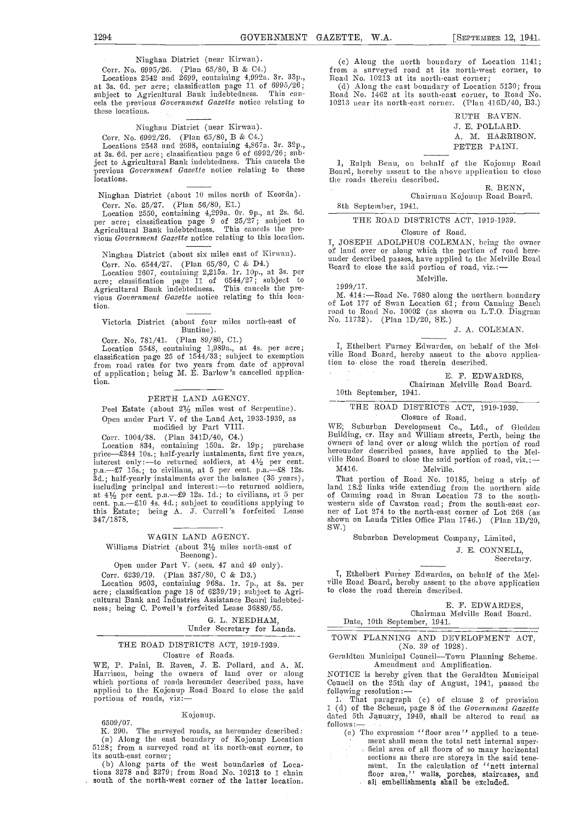Ninghan District (near Kirwan).

Corr. No. 6995/26. (Plan 65/80, B & C4.)

Locations 2542 and 2699, containing 4,992a. 3r. 33p., at 3s. 6d. per acre; classification page 11 of 6995/26;<br>subject to Agricultural Bank indebtedness. This cancels the previous Government Gazette notice relating to 1021 these locations.

#### Niughan District (near Kirwau).

Corr. No. 6992/26. (Plan 65/80, B & C4.)

Locations 2543 and 2698, containing 4,S67a. 3r. 32p., at 3s. 6d. per acre; classification page 6 of 6992/26; sublocations.

Niughan District (about 10 miles north of Koorda). Corr. No. 25/27. (Plan 56/80, El.)

Location 2550, containing 4,299a. Or. Op., at 2s. 6d. per acre; classification page 9 of 25/27; subject to Agricultural Bank indebtedness. This cancels the previous Government Gazette notice relating to this location.

Ninghan District (about six niiles east of Kirwan). Corr. No. 6544/27. (Plan 65/80, C & D4.)

Location 2607, containing 2,215a. 1r. 10p., at 3s. per<br>acre; classification page 11 of 6544/27; subject to Agricultural Bank indebtedness. This cancels the pre-<br>vious Government Gazette notice relating to this location.

#### Victoria District (about four miles north-east of Buntine).

from road rates for two years from date of approval of application; being M. E. Barlow's cancelled application.

#### PERTH LAND AGENCY.

Peel Estate (about 2½ miles west of Serpentine). Open under Part V. of the Land Act, 1933-1939, as modified by Part VIII.

Corr. 1004/38. (Plan 341D/40, C4.) Location 534, containing l5Oa. 2r.19p; purchase interest only:—to returned soldiers, at  $4\frac{1}{2}$  per cent. ville Roz<br>p.a.—£7 15s.; to civilians, at 5 per cent. p.a.—£8 12s. M416.<br>3d.; half-yearly instalments over the balance (35 years), That<br>including principal and in this Estate; being A. J. Currell's forfeited Lease 347/1878.

#### WAGIN LAND AGENCY.

Williams District (about 2½ miles north-cast of Beenong).

Open under Part V. (sees. 47 and 49 only).

Corr. 6239/19. (Plan 387/SO, C & D3.)<br>Location 9503, eontaining 968a. lr. 7p., at Ss. per<br>acre; classification page 18 of 6239/19; subject to Agri-<br>cultural Bank and Industries Assistance Board indebtedness; being C. Powell's forfeited Lease 36889/55.

> G. L. NEEDHAM, Under Secretary for Lands.

#### THE ROAD DISTRICTS ACT, 1919-1939. Closure of Roads.

WE, P. Paini, R. Raven, J. E. Pollard, and A. M. Harrison, being the owners of land over or along<br>which portions of roads hereunder described pass, have applied to the Kojonup Road Board to close the said portions of roads, viz:-

#### Kojonup.

6509/07.<br>K. 290. The surveyed roads, as hereunder described: K. 290. The surveyed roads, as hereunder described: (a) Along the east boundary of Kojonup Location 5128; from a surveyed road at its north-east corner, to its south-east corner;

(b) Along parts of the west boundaries of Locations 3278 and 3279; from Road No. 10213 to 1 chain south of the north-west corner of the latter location. (c) Along the north boundary of Location 1141; from a surveyed road at its north-west corner, to Road No. 10213 at its north-east corner; (d) Along the east boundary of Location 5130; from

Along the east boundary of Location 5130; Iron, Road No. 1462 at its south-east corner, to Road No. 10213 near its north-east corner. (Plan 4] 6D/40, B3.)

> RUTH RAVEN. .1. E. POLLARD. A. M. HARRISON. PETER PAINI.

ject to Agricultural Bank indebtedness. This cancels the previous Gail and Benn, on behalf of the Kojonup Road<br>previous *Government Gazette* notice relating to these poord, hereby assent to the above application to close Board, hereby assent to the above application to close the roads therein described.

> H. BENN, Chairman Kojonup Road Board.

8th September, 1941.

#### THE ROAD DISTRICTS ACT, 1919-1939.

#### Closure of Road.

I, JOSEPH ADOLPHUS COLEMAN, being the owner of land over or along which the portion of road here-<br>under described passes, have applied to the Melville Road<br>Board to close the said portion of road, viz.:-

Melville.

1999/17.

M. 414:-Road No. 7680 along the northern boundary of Lot 177 of Swan Location 61; from Canning Beach road to Road No. 10002 (as shown on L.T.O. Diagram No. 11732). (Plan 1D/20, SE.)

#### J. A. COLEMAN.

Corr. No. 781/41. (Plan 89/80, Cl.)<br>
Location 5548, containing 1,989a., at 4s. per acre; <br>
classification page 25 of 1544/33; subject to exemption vile Road Board, hereby assent to the above applicaville Road Board, hereby assent to the above application to close the road therein described.

#### E. F. EDWARDES,

Chairman Melville Road Board. 10th September, 1941.

## THE ROAD DISTRICTS ACT, 1919-1939.

#### Closure of Road.

WE; Suburban Development Co., Ltd., of Gleddea Building, cr. Hay and William streets, Perth, being the<br>owners of land over or along which the portion of road<br>hereunder described passes, have applied to the Mel-<br>ville Road Board to close the said portion of road, viz.:-M416. Melville.

That portion of Road No. 10185, being a strip of land 18.2 links wide extending from the northern side of Canning road in Swan Location 73 to the south-western side of Cawston road; from the south-east corner of Lot 274 to the north-east corner of Lot 268 (as shown on Lands Titles Office Plan 1746.) (Plan 1D/20, SW.)

Suburban Development Company, Limited,

J. E. CONNELL,

Secretary.

I, Ethelbert Furney Edwardes, on behalf of the Mel- ville Road Board, hereby assent to tile above application to close the road therein described.

> E. F. EDWARDES, Chairman Melville Road Board.

Date, 10th September, 1941.

TOWN PLANNING AND DEVELOPMENT ACT, (No. 39 of 1928).

Geraldton Municipal Council-Town Planning Scheme. Amendment and Amplification.

7OTICE is hereby given that the Geraldton Municipal council on the 25th day of August, 1941, passed the following resolution:-

1. That paragraph (e) of clause 2 of provision 1 (d) of the Scheme, page 8 of the Government Gazette dated 5th January, 1940, shall be altered to read as follows:

(c) The expression ''floor area'' applied to a tene-<br>ment shall mean the total nett internal super-<br>ficial area of all floors of so many horizontal flcia1area of all floors of so many horizontal sections as there are storeys in the said tenement. In the calculation of ''nett internal floor area,'' walls, porches, staircases, and all embellishments shall be excluded.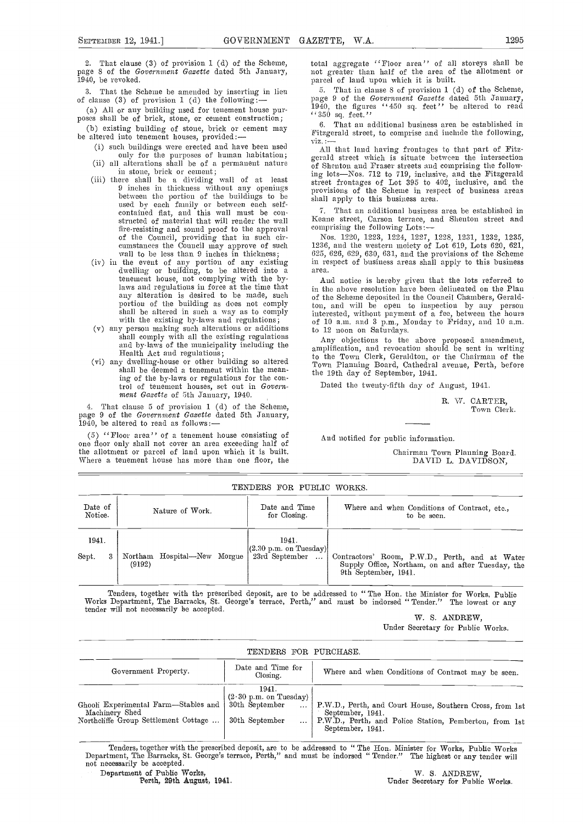2. That clause (3) of provision 1 (d) of the Scheme, page 8 of the Government Gazette dated 5th January, 1940, be revoked.

All or any building used for tenement house pur- poses shall be of brick, stone, or cement construction;

(b) existing building of stone, brick or cement may be altered into tenement houses, provided:-

such the condition is such provided.<br>(i) such buildings were erected and have been used

- 
- in stone, brick or cement; there shall be a dividing wall of at least between the portion of the buildings to be used by each family or between each self- contained flat, and this wall must be constructed of material that will render the wall fire-resisting and sound proof to the approval of the Council, providing that in such ciicumstances the Council may approve of such 1236, wall to be less than 9 inches in thickness; 625, 6<br>in the event of any portion of any existing in res
- dwelling or building, to be altered into a area. tenement house, not complying with the bylaws and regulations in force at the time that any alteration is desired to be made, such portion of the building as does not comply
- with the existing by-laws and regulations; all be alterations or additions or additions of 10 a.m. and 3 p.m., Monday to Friday, and 10 a.m.<br>shall comply with all the existing regulations shall comply with all the existin
- Health Act and regulations; (vi) any dwelling-house or other building so altered shall be deemed a tenement within the meaning of the by-laws or regulations for the control of tenement houses, set out in Government Gazette of 5th January, 1940.

4. That clause 5 of provision 1 (d) of the Scheme, page 9 of the Government Gazette dated 5th January, 1940, be altered to read as follows:

(5) ''Floor area'' of a tenement house consisting of one floor only shall not cover an area exceediug half of the allotment or parcel of land upon which it is built. Where a tenement house has more than one floor, the total aggregate ''Floor area'' of all storeys shall be not greater than half of the area of the allotment or parcel of land upon which it is built.

3. That the Scheme be amended by inserting in lieu  $\frac{5}{2}$ . That in clause 8 of provision 1 (d) of the Scheme, of clause (3) of provision 1 (d) the following:  $\frac{25}{10}$  ange 9 of the Government Gazette dated 5th Janua page 9 of the Government Gazette dated 5th January, 1940, the figures ''450 sq. feet'' be altered to read ''350 sq. feet.''

> That an additional business area be established in Fitzgerald street, to comprise and inchide the following,

only for the purposes of human habitation;<br>(ii) all alterations shall be of a permanent nature of Shenton and Frase; streets and comprising the follow-<br>of Shenton and Frase; streets and comprising the follow-All that land having frontages to that part of Fitzof Shenton and Fraser streets and comprising the following lots-Nos. 712 to 719, inclusive, and the Fitzgerald street frontages of Lot 395 to 402, inclusive, and the provisions of the Scheme in respect of business areas shall apply to this business area.

> That an additional business area be established in Keane street, Carson terrace, and Shenton street and comprising the following Lots:

Nos. 1220, 1223, 1224, 1227, 1228, 1231, 1232, 1235, 1236, and the western moiety of Lot 619, Lots 620, 621, 625, 626, 629, 630, 631, and the provisions of the Scheme in respect of business areas shall apply to this business area.

And notice is hereby given that the lots referred to in the above resolution have been delineated on the Plan of the Scheme deposited in the Conncil Chambers, Geraldton, and will be open to inspection by any person therested, without payment of a fee, between the hours of 10 a.m. and 3 p.m., Monday to Friday, and 10 a.m.

Any objections to the above proposed amendment, amplification, and revocation should be sent in writing to the Town Clerk, Geraldton, or the Chairman of the Town Planning Board, Cathedral avenue, Perth, before the 19th day of September, 1941.

Dated the twenty-fifth day of Angust, 1941.

R. W. CARTER, Town Clerk.

And notified for public information.

Chairman Town Planning Board. DAVID L. DAVIDSON,

| TENDERS FOR PUBLIC WORKS. |  |        |                             |  |                                                                |                                                                                                                             |  |
|---------------------------|--|--------|-----------------------------|--|----------------------------------------------------------------|-----------------------------------------------------------------------------------------------------------------------------|--|
| Date of<br>Notice.        |  |        | Nature of Work.             |  | Date and Time<br>for Closing.                                  | Where and when Conditions of Contract, etc.,<br>to be seen.                                                                 |  |
| 1941.                     |  |        |                             |  | 1941.                                                          |                                                                                                                             |  |
| Sept.                     |  | (9192) | Northam Hospital—New Morgue |  | $(2.30 \text{ p.m. on Tuesday})$<br>23rd September<br>$\cdots$ | Contractors' Room, P.W.D., Perth, and at Water<br>Supply Office, Northam, on and after Tuesday, the<br>9th September, 1941. |  |

Tenders, together with the prescribed deposit, are to be addressed to "The Hon. the Minister for Works, Publio Works Department, The Barracks, St. George's terrace, Perth," and must be indorsed "Tender." The lowest or any tender will not necessarily be accepted.

W. S. ANDREW, Under Secretary for Public Works.

| TENDERS FOR PURCHASE.                                                                          |                                                                               |                                                                                                                                                            |  |  |  |  |  |
|------------------------------------------------------------------------------------------------|-------------------------------------------------------------------------------|------------------------------------------------------------------------------------------------------------------------------------------------------------|--|--|--|--|--|
| Government Property.                                                                           | Date and Time for<br>Closing.                                                 | Where and when Conditions of Contract may be seen.                                                                                                         |  |  |  |  |  |
| Ghooli Experimental Farm—Stables and<br>Machinery Shed<br>Northcliffe Group Settlement Cottage | 1941.<br>$(2.30 \text{ p.m. on Tuesday})$<br>30th September<br>30th September | P.W.D., Perth, and Court House, Southern Cross, from 1st<br>September, 1941.<br>P.W.D., Perth, and Police Station, Pemberton, from 1st<br>September, 1941. |  |  |  |  |  |

Tenders, together with the prescribed deposit, are to be addressed to "The Hon. Minister for Works, Public Works, Department, The Barracks, St. George's terrace, Perth," and must be indorsed "Tender." The highest or any te

Department of Public Works, W. S. ANDREW, Perth, 29th August, 1941. Under Secretary for Public Works.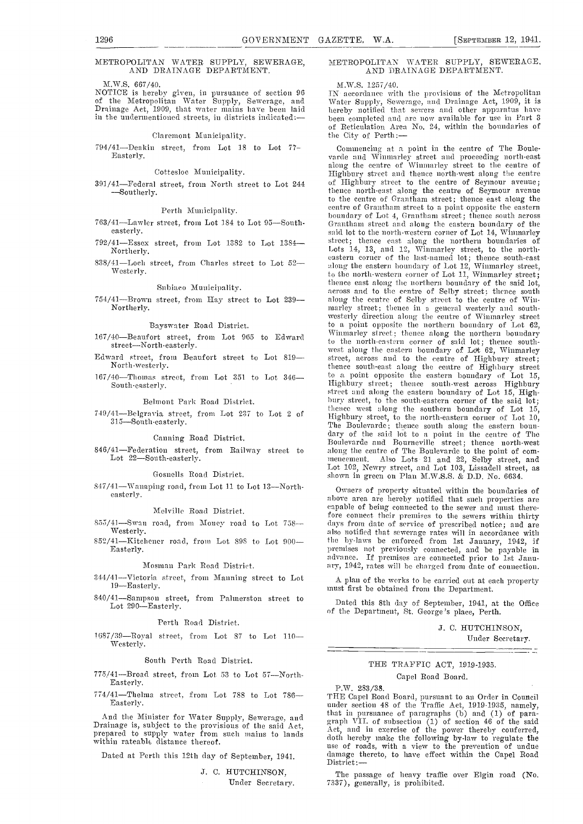#### METROPOLITAN WATER SUPPLY, SEWERAGE, AND DRAINAGE DEPARTMENT.

M.W.S. 667/40.

#### Claremont Municipality.

794/41-Deakin street, from Lot 18 to Lot 77- Commencing at a point in the centre of The Boule-Easterly.

#### Cottesloe Municipality.

391/41-Federal street, from North street to Lot 244<br>-Southerly.

#### Perth Muuicipality.

- easterly.
- 792/41Essex street, from Lot 1382 to Lot 13S4 Northerly.
- 838/41-Loch street, from Charles street to Lot 52-Westerly

#### Suhiaco Muuicipalitv.

#### Bayswater Road District.

- 167/40-Beaufort street, from Lot 965 to Edward street-North-easterly
- Edward street, from Beaufort street to Lot 819 North -westerly.
- South-easterly.

#### Belmont Park Road District,

#### Canning Road District.

Lot 22-South-easterly.

#### Gosnells Road District.

S47/41-Wanaping road, from Lot 11 to Lot 13-North-easterly.

#### Melville Road District.

- 
- 852/41-Kitchener road, from Lot 898 to Lot 900-Easterly.

#### Mosman Park Road District.

344/41-Victoria street, from Manning street to Lot 19-Easterly.

840/41—Sampson street, from Palmerston street to Dated this 8th day of September, 1941, at Lot 290—Easterly.  $\begin{array}{c} \text{Dot 290} \\ \text{Dot 290} \\ \text{Dot 290} \\ \text{Dot 290} \\ \text{Dot 290} \\ \text{Dot 290} \\ \text{Dot 290} \\ \text{Dot 290} \\ \text{Dot 290} \\ \text{Dot 290} \\ \text{Dot$ 

#### Perth Road District.

 $1687/39$ -Royal street, from Lot 87 to Lot 110-Westerly.

#### South Perth Road District.

 $775/41$ -Broad street, from Lot 53 to Lot 57-North-Easterly.

Easterly.

Dated at Perth this 12th day of September, 1941.

J. C. HUTCHINSON.

Under Secretary.

#### METROPOLITAN WATER SUPPLY, SEWERAGE, AND DRAINAGE DEPARTMENT.

#### M.W.S. 1257/40.

NOTICE is hereby given, in pursuance of section 96 TN accordance with the provisions of the Metropolitan of the Metropolitan Water Supply, Sewerage, and Water Supply, Sewerage, and Drainage Act, 1909, it is Drainage Act, 1909, that water mains have been laid hereby notified that sewers and other apparatus have<br>in the undermentioned streets, in districts indicated:—<br>of Reticulation Area No. 24, within the boundaries of IN accordance with the provisions of the Metropolitan been completed and are now available for use in Part 3 the City of Perth

763/41—Lawler street, from Lot 184 to Lot 95—South. Grantham street and along the eastern boundary of the 754/41—Brown street, from Hay street to Lot 239— along the centre of Selby street to the centre of Win-<br>Northerly.<br>marley street; thence in a general westerly and south- $167/40$ -Thomas street, from Lot 351 to Lot 346-<br> $\frac{1}{11}$  to a point opposite the eastern boundary of Lot 15, 749/41—Belgravia street, from Lot 237 to Lot 2 of thence west along the southern boundary of Lot 15,<br>315—South-easterly. The Boulevarde; thence south along the eastern boun-Canning Koad District.<br>846/41—Federation street, from Railway street to along the centre of The Boulevarde to the point of comvarde and Winnarley street and proceeding north-east<br>along the centre of Winnarley street to the centre of<br>Highbury street and thence north-west along the centre of Highbury street to the centre of Seymour avenue; thence north-east along the centre of Seymour avenue to the centre of Grantham street; thence east along the centre of Graatliam street to a point opposite the eastern boundary of Lot 4, Grantham street; thence south across said lot to the north-western corner of Lot 14, Winmarley street; thence east along the northern boundaries of Lots 14, 13, and 12, Winmarley street, to the northeastern corner of the last-named lot; thence south-east along the eastern boundary of Lot 12, Winmarley street, to the north-western corner of Lot 11, Winmarley street; thence east along the northern boundary of the said lot, across and to the centre of Selby street; thence south marley street; thence in a general westerly and south-<br>westerly direction along the centre of Winmarley street<br>to a point opposite the northern boundary of Lot  $62$ , Winmarley street; thence along the northern boundary to the north-eastern corner of said lot; thence southwest along the eastern boundary of Lot 62, Winmarley street, across and to the centre of Highbury street; thence south-east along the centre of Highbury street Highbury street; thence south-west across Highbury street and along the eastern boundary of Lot 15, Highbury street, to the south-eastern corner of the said lot;<br>thence west along the southern boundary of Lot 15,<br>Highbury street, to the north-eastern corner of Lot 10,<br>The Boulevarde; thence south along the eastern boun-<br>dary along the centre of The Boulevarde to the point of commencement. Also Lots 21 and 22, Selby street, and Lot 102, Newry street, and Lot 103, Lissadell street, as shown in green on Plan M.W.S.S. & D.D. No. 6634.

S55/41—Swan road, from Money road to Lot 758— fore connect their premises to the sewers within thirty<br>Westerly. Money road to Lot 758— days from date of service of prescribed notice; and are<br>also notified that sewerage rat Owners of property situated within the boundaries of above area are hereby notified that such properties are capable of being connected to the sewer and must theredays from date of service of prescribed notice; and are also notified that sewerage rates will in accordance with the by-laws be enforced from 1st January, 1942, if premises not previously connected, and be payable in advance. If premises are connected prior to 1st January, 1942, rates will be charged from date of connection.

A plan of the werks to be carried out at each property must first be obtained from the Department.

Dated this 8th day of September, 1941, at the Office

J. C. HUTCHINSON,

Under Secretary.

#### THE TRAFFIC ACT, 1919-1935. Capel Road Board.

P.W. 283/38.

774/41—Thelma street, from Lot 788 to Lot 786—<br>Easterly. and Board, pursuant to an Order in Council<br>that is compared to the Traffic Act, 1919-1935, namely, And the Minister for Water Supply, Sewerage, and<br>Drainage is, subject to the provisions of the said Act,<br>prepared to supply water from such mains to lands<br>within rateable distance thereof.<br>within rateable distance thereof. that in pursuance of paragraphs (b) and (b) of paragraph VII, of subsection (1) of section 46 of the said Act, and in exercise of the power thereby conferred, doth hereby make the following by-law to regulate the use of r

The passage of heavy traffic over Elgin road (No. 7337), generally, is prohibited.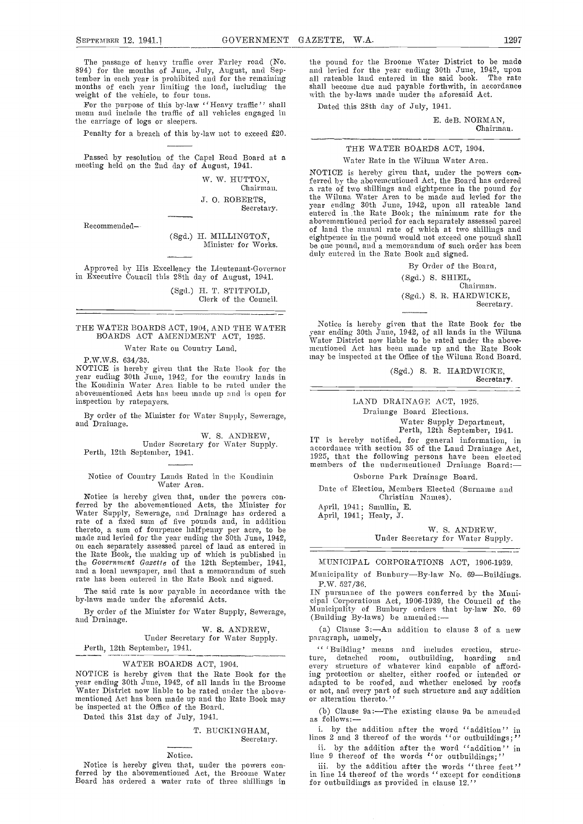The passage of heavy traffic over Fancy road (No. 894) for the months of June, July, August, and September in each year is prohibited and for the remaining months of each year limiting the load, including the months of each year limiting the load, including the weight of the vehicle, to four tons.<br>For the purpose of this by-law "Heavy traffic" shall

mean and include the traffic of all vehicles engaged in the carriage of logs or sleepers.

Penalty for a breach of this by-law not to exceed £20.

Passed by resolution of the Capel Road Board at a meeting held on the 2nd day of August, 1941.

W. W. HUTTON, Chairman.

J. 0. ROBERTS, Secretary.

Recommended-

(Sgd.) H. MILLINGTON, Minister for Works.

Approved by His Excellency the Lieutenant-Governor in Executive Council this 28th day of August, 1941.

(Sgd.) H. T. STITFOLD,<br>Clerk of the Council.

THE WATER BOARDS ACT, 1904, AND THE WATER BOARDS ACT AMENDMENT ACT, 1925.

Water Rate on Country Land.

P.W.W.S. 634/35.<br>NOTICE is hereby given that the Rate Book for the year ending 30th June, 1942, for the country lands in the Kondinin Water Area liable to be rated under the abovementioned Acts has been made up and is open for inspection by ratepayers.

By order of the Minister for Water Supply, Sewerage, and Drainage.

W. S. ANDREW, Under Secretary for Water Supply. Perth, 12th Septeniber, 1941.

Notice of Country Lands Rated in the Kondinin Water Area.

Notice is hereby given that, under the powers con-<br>ferred by the abovementioned Acts, the Minister for Ap<br>Water Supply, Sewerage, and Drainage has ordered a rate of a fixed sum of five pounds and, in addition thereto, a sum of fourpence halfpenny per acre, to be made and levied for the year ending the 30th June, 1942, on each separately assessed parcel of land as entered in the Rate Book, the making up of which is published in the Government Gazette of the 12th September, 1941, M<br>and a local newspaper, and that a memorandum of such Mun and a local newspaper, and that a memorandum of such rate has been entered in the Rate Book and signed.

By order of the Minister for Water Supply, Sewerage, and Drainage.

W. S. ANDREW,

Under Secretary for Water Supply. Perth, 12th September, 1941.

#### WATER BOARDS ACT, 1904.

NOTICE is hereby given that the Rate Book for the ing protection or shelter, either roofed or intended or year ending 30th June, 1942, of all lands in the Broome adapted to be roofed, and whether enclosed by roofs Water Di mentioned Act has been made up and the Rate Book may be inspected at the Office of the Board.

Dated this 31st day of July, 1941.

#### T. BUCKINGHAM, Secretary.

#### Notice.

Notice is hereby given that, under the powers conferred by the abovementioned Act, the Broome Water in  $\lim_{\delta \to 0}$  in

the pound for the Broome Water Distriet to be made and levied for the year ending 30th June, 1942, upon all rateable laud entered in the said book. The rate shall become due and payable forthwith, in accordance with the by-laws made under the aforesaid Act.

Dated this 28th day of July, 1941.

E. deB. NORMAN, Chairman.

#### THE WATER BOARDS ACT, 1904.

#### Water Rate in the Wiluna Water Area.

NOTICE is hereby given that, under the powers conferred by the abovementioned Act, the Board has ordered a rate of two shillings and eightpence in the pound for the Wilnna Water Area to be made and levied for the year ending 30th June, 1942, upon all rateable land entered in the Rate Book; the minimum rate for the abovementioned period for each separately assessed parcel of land the annual rate of which at two shillings and eightpence in the pound would not exceed one pound shall be one pound, and a memorandum of such order has been duly entered in the Rate Book and signed.

By Order of the Board,

 $(Sgd.)$  S. SHIEL, Chairman. (Sgcl.) S. H. HARDWICKE, Secretary.

Notice is hereby given that the Rate Book for the year ending 30th June, 1942, of all lands in the Wiluna Water District now liable to be sated under the abovementioned Act has been made up and the Rate Book may be inspected at the Office of the Wihuna Road Board.

> (Sgd.) S. H. HARDWICKE, Secretary.

### LAND DRAINAGE ACT, 1925.

Drainage Board Elections.

Water Supply Departmeut, Perth, 12th September, 1941.

IT is hereby notified, for general information, in accordance with section 35 of the Land Drainage Act, 1925, that the following persons have been elected members of the undermentioned Drainage Board:

Osborne Park Drainage Board.

Date of Election, Members Elected (Surname and Christian Names).

April, 1941; Smullin, E.<br>April, 1941; Healy, J.

W. S. ANDREW, Under Secretary for Water Supply.

#### MUNICIPAL CORPORATIONS ACT, 1906-1939.

Municipality of Bunbury-By-law No. 69-Buildings.

The said rate is now payable in accordance with the TRIM DUSS P.W. 527/36.<br>The said rate is now payable in accordance with the BUSS DUSS DUSS DUSS DUSS made under the aforesaid Acts.<br>eipal Corporations Act, 1906-1939, the IN pursuance of the powers conferred by the Muni- cipal Corporations Act, 1906-1939, the Council of the Municipality of Bunbury orders that by-law No. 69 (Building By-laws) be amended:-

> (a) Clause  $3:-A$ n addition to clause 3 of a new paragraph, namely,

> 'Building' means and includes erection, structure, detached room, outbuilding, hoarding and every structure of whatever kind capable of affordadapted to be roofed, and whether enclosed by roofs or not, and every part of such structure and any addition

> (b) Clause 9a:-The existing clause 9a be amended as follows:-

> i. by the addition after the word "addition" in hines 2 and 3 thereof of the words ''or outbuildings;''

> by the addition after the word ''addition'' in  $ii$ . line 9 thereof of the words "or outbuildings;"

> by the addition after the words ''three feet'' in line 14 thereof of the words ''except for conditions for outbuildings as provided in clause 12.''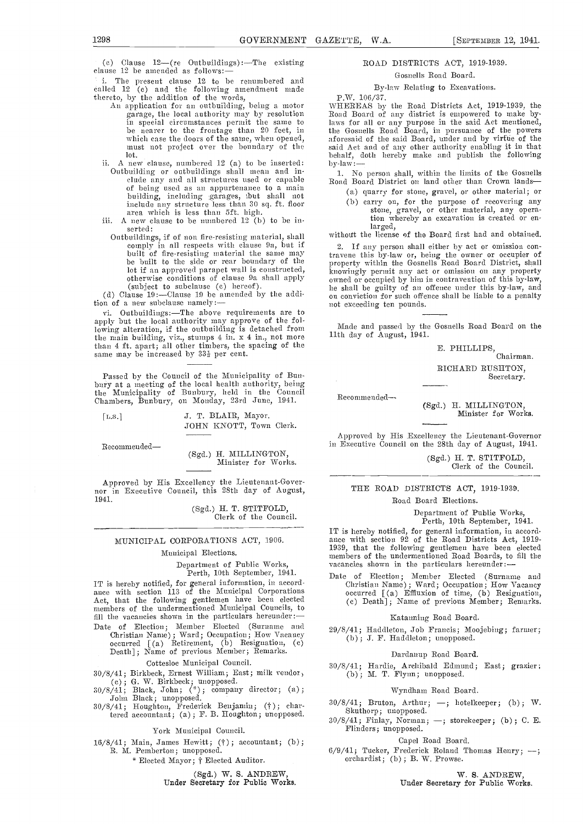(c) Clause  $12-(re$  Outbuildings): The existing clause 12 be amended as follows:-

i. The present clause <sup>12</sup> to he renumbered and called <sup>12</sup> (c) and the following amendment made

- 
- lot.<br>ii. A new clause, numbered 12 (a) to be inserted: Outbuilding or outbuildings shall mean and in-<br>clude any and all structures used or capable and Board District on land other than Crown lands of being used as an appurtenance to a main building, including garages, but shall not include any structure less than 30 sq. ft. floor area which is less than Oft. high.
- iii. A new clause to be numbered  $12$  (b) to be inserted:
- Outbuildings, if of non fire-resisting material, shall comply in all respects with clause 9a, but if 2.<br>built of fire-resisting material the same may traver be built to the side or rear boundary of the prop (subject to subclause (c) hereof).<br>
(d) Clause 19:—Clause 19 be amended by the addi-

tion of a new subclause namely:

vi. Outbuildings:-The above requirements are to apply but the local authority may approve of the following alteration, if the outbuilding is detached from  $\frac{Made}{dt}$  and passed by the the main building viz stumps 4 in x 4 in not more  $\frac{1}{1}$  and day of August, 1941. the main building, viz., stumps 4 in. x 4 in., not more than 4 ft. apart; all other timbers, the spacing of the same may be increased by 33<sup>1</sup> per cent.

Passed by the Council of the Municipality of Bun-<br>bury at a meeting of the local health authority, being<br>the Municipality of Bunbury, held in the Council the Municipality of Bunbury, held in the Chambers, Bunbury, on Monday, 23rd June, 1941.

| [L.S.] | J. T. BLAIR, Mayor.     |
|--------|-------------------------|
|        | JOHN KNOTT, Town Clerk. |

Recommended-

(Sgd.) H. MILLINGTON,<br>Minister for Works.

Approved by His Excellency the Lieutenant-Gover-<br>nor in Executive Council, this 28th day of August, 1941.

(Sgd.) H. T. STITFOLD, Clerk of the Council.

#### MUNICIPAL CORPORATIONS ACT, 1906.

#### Municipal Elections.

Department of Public Works, Perth, 10th September, 1941.

IT is hereby notified, for general information, in accord-<br>ance with section 113 of the Municipal Corporations and the Municipal Corporation 113 of the Municipal Corporations (c) Death]; Name of previous Member; Remarks.<br>
members of the undermentioned Municipal Councils, to fill the vacancies shown in the particulars hereunder:

Date of Election; Member Elected (Surname and 29/8) Christian Name); Ward; Occupation; How Vacancy<br>occurred [(a) Retirement, (b) Resignation, (c)<br>Death]; Name of previous Member; Remarks.

Cottesloe Municipal Council.

- 30/8/41; Birkbeck, Ernest William; East; milk vendor>
- (c); G. W. Birkbeck; unopposed.<br>30/8/41; Black, John; (\*); company director; (a);
- John Black; unopposed.<br>30/8/41; Houghton, Frederick Benjamin; (†); chartered accountant; (a); F. B. Houghton; unopposed.

York Municipal Council.

16/8/41; Main, James Hewitt; (f) ; accountant; (b) R. M. Pemberton; unopposed.

Elected Mayor; Elected Auditor.

(Sgd.) W. S. ANDREW,

Under Secretary for Public Works.

#### ROAD DISTRICTS ACT, 1919-1939.

Gosnells Road Board.

#### By-law Relating to Excavations. \\ 106/37.

thereto, by the addition of the words, T.W. 106/37.<br>An application for an outbuilding, being a motor WHEREAS by the Road Districts Act, 1919-1939, the<br>garage, the local authority may by resolution Road Board of any distric in special circumstances permit the same to be nearer to the frontage than 20 feet, in the Gosnells Road Board, in pursuance of the powers which case the doors of the same, when opened, aforesaid of the said Board, under a which case the doors of the same, when opened, aforesaid of the said Board, under and by virtue of the must not project over the boundary of the said Act and of any other authority enabling it in that behalf, doth hereby m WHEREAS by the Road Districts Act, 1919-1939, the laws for all or any purpose in the said Act mentioned, the Gosnells Road Board, in pursuance of the powers said Act and of any other authority enabling it in that by-law:

Road Board District on land other than Crown lands-

- (a.) quarry for stone, gravel, or other material; or
- (b) carry on, for the purpose of recovering any stone, gravel, or other material, any operation whereby an excavation is created or en-

larged, without the license of the Board first had and obtained.

lot if an approved parapet wall is constructed,<br>otherwise conditions of clause 9a shall apply buyingly permit any act or omission on any property<br>otherwise conditions of clause 9a shall apply owned or occupied by him in co If any person shall either by act or omission contravene this by-law or, being the owner or occupier of property within the Gosnells Road Board District, shall he shall be guilty of an offence under this by-law, and on conviction for such offence shall be liable to a penalty not exceeding ten pounds.

Made and passed by the Gosnells Road Board on the

E. PHILLIPS, Chairman. RICHARD RUSHTON, Secretary.

Recommemided--

(Sgd.) H. MILLINGTON, Minister for Works.

Approved by His Excellency the Lieutenant-Governor in Executive Council on the 28th day of August, 1941.

(Sgd.) H. T. STITFOLD, Clerk of the Council.

## THE ROAD DISTRICTS ACT, 1919-1939.

### Road Board Elections.

Department of Public Worke, Perth, 10th September, 1941.

IT is hereby notified, for general information, in accord- alice with section 92 of the Road Districts Act, 1919- 1939, that the following gentlemen have been elected members of the undermentioned Road Boards, to fill the vacancies shown in the particulars hereunder:-

Date of Election; Member Elected (Surname and Christian Name); Ward; Occupation; How Vacancy occurred [(a) Effluxion of time, (b) Resignation, (c) Death] ; Name of previous Member; Remarks.

#### Katanning Road Board.

29/8/41; Haddleton, Job Francis; Moojebing; farmer; (b); .1. F. Haddleton; unopposed.

Dardanup Road Board.

30/8/41; Hardie, Archibald Edmund; East; grazier; (b); M. T. Flynn; unopposed.

#### Wyndham Road Board.

- $30/8/41$ ; Bruton, Arthur; -; hotelkeeper; (b); W. Skuthorp; unopposed.
- $30/8/41$ ; Finlay, Norman; -; storekeeper; (b); C. E. Fhinders; unopposed.

Capel Road Board.

 $6/9/41$ ; Tucker, Frederick Roland Thomas Henry; -;  $orchardist$ ; (b); B. W. Prowse.

W. S. ANDREW,

Under Secretary for Public Works.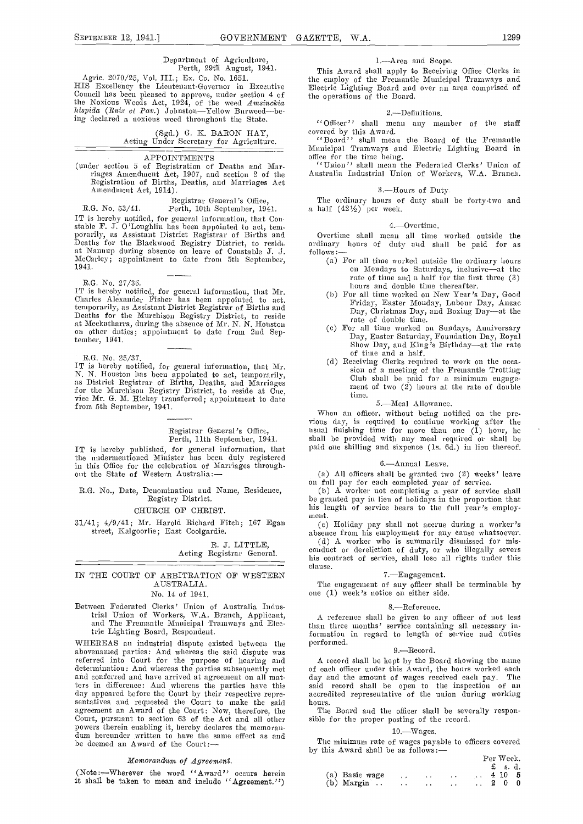Council has been pleased to approve, under section 4 of the Noxious Weeds Act, 1924, of the weed Amsinckia hispida (Ruiz et Pav.) Johnston-Yellow Burweed-being declared a noxious weed throughout the State.

> (Sgd.) G. K. BARON HAY, Acting Under Secretary for Agriculture.

#### APPOINTMENTS

(under section 5 of Registration of Deaths and Mar-Registration of Births, Deaths, and Marriages Act Amendment Act, 1914).

Registrar General's Office, R.G. No. 53/41. Perth, 10th September, 1941.

IT is hereby notified, for general information, that Constable F. J. O'Loughlin has been appointed to act, tem-<br>porarily, as Assistant District Registrar of Births and Deaths for the Blackwood Registry District, to reside at Nannup during absence on leave of Constable J. J. McCarley; appointment to date from 5th September, 1941.

HG. No. 27/3d.

IT is hereby notified, for general information, that Mr.<br>Charles Alexander Fisher has been appointed to act,<br>temporarily, as Assistant District Registrar of Births and temporarily, as Assistant District Registrar of Births and Deaths for the Murcinson Registry District, to reside at Meekatharra, during the absence of Mr. N. N. Houston<br>on other duties; appointment to date from 2nd September, 1941.

R.G. No. 25/37.<br>IT is hereby notified, for general information, that Mr. IT is hereby notified, for general information, N. N. Houston has been appointed to act, temporarily, as District Registrar of Births, Deaths, and Matriages for the Murchison Registry District, to reside at Cue, vice Mr. G. M. Hickey transferred; appointnient to date from 5th September, 1941.

#### Registrar General's Officc, Perth, 11th September, 1941.

IT is hereby published, for general information, that the nndermentioned Minister has been duly registered in this Office for the celebration of Marriages through-<br>
out the State of Western Australia:—<br>
out the State of Western Australia:—<br>
on full pay for each completed year of service.

R.G. No., Date, Denomination and Name, Residence, Registry District.

#### CHURCH OF CHRIST.

31/41; 4/9/41; Mr. Harold Richard Fitch; 167 Egan (c) Holiday pay shall not accrue during a worker's street, Kalgoorlie; East Coolgardie.

> R. J. LITTLE, Acting Registrar General.

#### IN THE COURT OF ARBITRATION OF WESTERN AUSTRALIA.

#### No. 14 of 1941.

Between Federated Clerks' Union of Australia Indusand The Fremantle Municipal Tramways and Electric Lighting Board, Respondent.

WHEREAS an industrial dispute existed between the performed. abovenamed parties: And whereas the said dispute was referred into Court for the purpose of hearing and A re determination: And whereas the parties subsequently met and conferred and have arrived at agreement on all mat-<br>ters in difference: And whereas the parties have this day appeared before the Court by their respective repre-<br>sentatives and requested the Court to make the said agreement an Award of the Court: Now, therefore, the The Board and the officer shall be seve<br>Court, pursuant to section 63 of the Act and all other sible for the proper posting of the record.<br>powers therein enabling it, he be deemed an Award of the Court:

#### Memorandum of Agreement.

(Note:--Wherever the word "Award" occurs herein it shall be taken to mean and include ''Agreement.")

#### 1.Area and Scope.

Agric. 2070/25, Vol. III.; Ex. Co. No. 1651. His the employ of the Fremantle Municipal Tramways and<br>HIS Execllency the Lientenant-Governor in Executive Electric Lighting Board and over an area comprised of This Award shall apply to Receiving Office Clerks in the employ of the Freniantle Municipal Trarnways and Electric Lighting Board and over an area comprised of the operations of the Board.

#### 2.-Definitions.

"Officer" shall mean any member of the staff

covered by tins Award. ''Board'' shall mean the Board of the Fremantle Municipal Tramways and Electric Lighting Board in office for the time being.

''Union'' shall mean the Federated Clerks' Union of Australia Industrial TJnion of Workers, WA. Branch.

#### 3.-Hours of Duty.

The ordinary hours of duty shall be forty-two and a half  $(42\frac{1}{2})$  per week.

#### 4.Overtime.

Overtime shall mean all time worked outside the ordinary hours of dnty and shall be paid for as

- follows:-<br>(a) For all time worked outside the ordinary hours (a) For all time worked outside the ordinary hours on Mondays to Saturdays, inclusive—at the rate of time and a half for the first tln'ee (3)
	- hours and double time thereafter.<br>(b) For all time worked on New Year's Day, Good (h) For all time w-orked on New Year's Day, Good Friday, Easter Monday, Labour Day, Anzae Day, Christmas Day, and Boxing Dayat the rate of double time.
	- For all time worked on Sundays, Anniversary Day, Easter Saturday, Foundation Day, Royal Show Day, and King's Birthdayat the rate of time and a half.
	- sion of a meeting of the Fremantle Trotting Club shall be paid for a minimum engage-<br>ment of two (2) hours at the rate of double time.

#### 5.-Meal Allowance.

When an officer, without being notified on the previous clay, is required to continue working after the usual finishing time for more than one (1) hour, he shall be provided with any meal required or shall be paid one shilling and sixpence (is. 6d.) in lieu thereof.

#### 6.Annual Leave.

(a) All officers shall be granted two  $(2)$  weeks' leave

(b) A worker not completing a year of service shall be granted pay in lieu of holidays in the proportion that his length of service bears to the full year's employment.

absence from his employment for any cause whatsoever.<br>(d) A worker who is summarily dismissed for mis-<br>conduct or dereliction of duty, or who illegally severs<br>his contract of service, shall lose all rights under this clause.

### 7.Engagement.

The engagement of any officer shall be terminable by one (1) week's notice on either side.

#### 8.-Reference.

A reference shall be given to any officer of not less than three months' service containing all necessary information in regard to length of service and duties<br>performed. 9.—Record.

A record shall be kept by the Board showing the name of each officer under this Award, the hours worked each day and the amount of wages received each pay. The said record shall be open to the inspection of an accredited representative of the union during working hours.

The Board and the officer shall be severally respon-

#### 10. Wages.

The minimum rate of wages payable to officers covered by this Award shall be as follows:

|                       |                      |                          |                          | Per Week.          |
|-----------------------|----------------------|--------------------------|--------------------------|--------------------|
|                       |                      |                          |                          | $\pounds$ s.d.     |
| (a) Basic wage        | $\ddot{\phantom{0}}$ | <b>Contractor</b>        | $\sim$ $\sim$ $\sim$     | $\therefore$ 410 5 |
| $(b)$ Margin $\ldots$ | $\cdots$             | <b>Contract Contract</b> | <b>Contract Contract</b> | $\cdot$ 2 0        |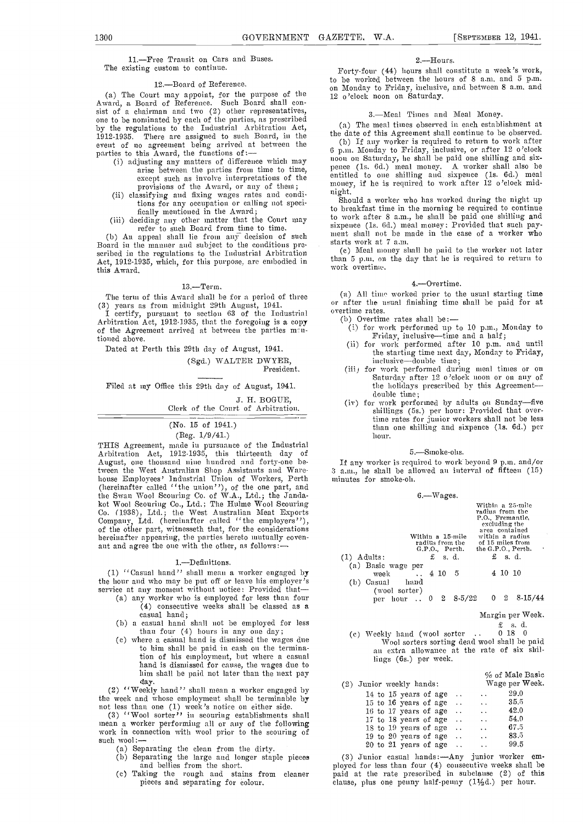11.-Free Transit on Cars and Buses. The existing custom to continue.

12. Board of Reference.<br>(a) The Court may appoint, for the purpose of the (a) The Court may appoint, for the purpose of the Award, a Board of Reference. Such Board shall consist of a chairman and two (2) other representatives, one to be nominated by each of the parties, as prescribed<br>by the regulations to the Industrial Arbitration Act, by the regulations to the Industrial Arbitration Act,<br>1912-1935. There are assigned to such Board, in the the date of this Agreement shall continue to be observed.<br>1912-1935. There are assigned to such Board, in the the da event of 110 agreement being arrived at between the parties to this Award, the functions of:--<br>(i) adjusting any matters of difference which may<br>arise between the parties from time to time,

- 
- tions for any occupation or calling not specifically mentioned in the Award;
- fically mentioned in the Award; deciding any other matter that the Court may to be refer to such Board from time to time.

(b) An appeal shall lie from any decision of such  $B$ oard in the manner and subject to the conditions pro. starts scribed in the regulations to the Industrial Arbitration  $(c)$ Act, 1912-1935, which, for this purpose, are embodied in  $\frac{\text{than}}{\text{mean}}$ this Award.

#### $13. -$ Term.

(3) years as from midnight 29th August, 1041.<br>I certify, pursuant to section 63 of the Industrial overtime rates.<br>Arbitration Act, 1912-1935, that the foregoing is a copy (b) Overtim<br>of the Agreement arrived at between th tioned above.

Dated at Perth this 29th day of August, 1941.

(Sgd.) WALTER DWYER,

President.

Filed at my Office this 29th day of August, 1941.

J. H. BOGUE, Clerk of the Court of Arbitration.

# (No. 15 of 1941.)

# (Beg. 1/9/41.)

THIS Agreement, made in pursuance of the Industrial Arbitration Act,1912-1935, this thirteenth day of August, one thousand mime hundred and forty-one between the West Australian Shop Assistants and Ware- 3 a.u<br>house Employees' Industrial Union of Workers, Perth — minu (hereinafter called ''the union''), of the one part, and the Swan Wool Scouring Co. of W.A., Ltd.; the Jandakot Wool Scouring Co., Ltd.; The Hulme Wool Scouring Co. (1938), Ltd.; the West Australian Meat Exports Company, Ltd. (hereinafter called "the employers"), of the other part, witnesseth that, for the considerations hereina

#### 1.Definitions.

(1)  $\lq$ <sup>c</sup> Casual hand'' shall mean a worker engaged by the hour and who may be put off or leave his employer's

- service at any monient without notice: Provided that (a) any worker who is employed for less than four (4) consecutive weeks shall be classed as a casual hand;
	- (b) a casual hand shall not be employed for less than four  $(4)$  hours in any one day;
	- (c) where a casual hand is dismissed the wages due to him shall be paid in cash on the termination of his employment, but where a casual hand is dismissed for cause, the wages due to him shall be paid not later than the next pay day.

(2) ''Weekly hand'' shall mean a worker engaged by the week and whose employment shall be terminable by the week and whose employment shall be terminable by not less than one (1) week's notice on either side.

(3) ''Wool sorter'' in scouring establishments shall inean a worker performing all or any of the following work in connection with wool prior to the scouring of such wool: $\leftarrow$ 

- 
- such wool:---<br>
(a) Separating the clean from the dirty.<br>
(b) Separating the large and longer staple pieces
	- Taking the rough and stains from cleaner hai pieces and separating for èolour.

2.---Hours.<br>Forty-four (44) hours shall constitute a week's work, to be worked between the hours of 8 a.m. and 5 p.m. on Monday to Friday, inclusive, and between 8 a.m. and 12 o'clock noon on Saturday.

#### 3.-Meal Times and Meal Money.

(a) The meal times observed in each establishment at

except such as involve interpretations of the entitled to one shilling and sixpence (1s. 6d.) meal<br>provisions of the Award, or any of them; money, if he is required to work after 12 o'clock mid-<br>(ii) classifying and fixing the date of this Agreement shall continue to be observed.<br>
(b) If any worker is required to return to work after<br>
6 p.m. Monday to Friday, inclusive, or after 12 o'clock noon on Saturday, he shall be paid one shilling and sixpence (1s. 6d.) meal money. A worker shall also be entitled to one shilling and sixpence (1s. 6d.) meal money, if he is required to work after 12 o'clock mid-<br>night. Should a worker who has worked during the night up

to breakfast time in tile morning be required to continue to work after 8 a.m., he shall be paid one shilling and sixpence (1s, 6d,) meal money: Provided that such payment shall not be made in the case of a worker who starts work at 7 a.m.

Meal mooney shall be paid to the worker not later than 5 p.m. on the day that he is required to return to work overtime.

#### 4.Overtime.

The term of this Award shall be for a period of three (a) All time worked prior to the usual starting time or after the usual finishing time shall be paid for at

- (b) Overtime rates shall be: $-$
- for work performed up to 10 p.m., Monday to<br>for work performed up to 10 p.m., Monday to<br>for work performed after 10 p.m. and until<br> $\frac{1}{2}$ .
- the starting time next day, Monday to Friday,<br>inclusive—double time;
- for work performed during meal times or on Saturday after 12 o'clock 110011 or on any of the holidays prescribed by this Agreement-double time;
- (iv) for work performed by adults on Sunday-five shillings (5s.) per hour: Provided that overtime rates for junior workers shall not be less than one shilling and sixpence (1s. 6d.) per hour.

5.—Smoke-ohs.<br>If any worker is required to work beyond 9 p.m. and/or  $3$  a.m., he shall be allowed an interval of fifteen (15) minutes for smoke-oh.

|                                                                    | $6 - Wages.$                                         |                                                                                                                                                         |  |
|--------------------------------------------------------------------|------------------------------------------------------|---------------------------------------------------------------------------------------------------------------------------------------------------------|--|
|                                                                    | Within a 15-mile<br>radius from the<br>G.P.O. Perth. | Within a 25-mile<br>radius from the<br>P.O., Fremantle.<br>excluding the<br>area contained<br>within a radius<br>of 15 miles from<br>the G.P.O., Perth. |  |
| $(1)$ Adults:                                                      | $\pounds$ s.d.                                       | $f$ s.d.                                                                                                                                                |  |
| (a) Basic wage per<br>week $\therefore$ 4 10<br>(b) Casual<br>hand | - 5                                                  | 4 10 10                                                                                                                                                 |  |
| (wool sorter)                                                      | per hour  0 2 8.5/22                                 | $0\quad 2$<br>8-15/44                                                                                                                                   |  |
|                                                                    |                                                      |                                                                                                                                                         |  |

Margin per Week.

# $£$  s. d.<br>0 18 0

(c) Weekly hand (wool sorter .. 0 18 0<br>Wool sorters sorting dead wool shall be paid an extra allowance at the rate of six shillings (6s.) per week.

|  |                          |  |               |                                            | % of Male Basic |
|--|--------------------------|--|---------------|--------------------------------------------|-----------------|
|  | (2) Junior weekly hands: |  |               |                                            | Wage per Week.  |
|  | 14 to 15 years of age    |  | $\ddotsc$     | $\ddot{\phantom{0}}$                       | 29.0            |
|  | 15 to 16 years of age    |  |               | $\ddotsc$                                  | 35,5            |
|  | 16 to 17 years of age    |  | $\sim$        | $\mathbf{v}$ , $\mathbf{v}$ , $\mathbf{v}$ | 42.0            |
|  | 17 to 18 years of age    |  | $\cdots$      | $\ddotsc$                                  | 54.0            |
|  | 18 to 19 years of age    |  | $\sim$ $\sim$ | $\ddotsc$                                  | 67.5            |
|  | 19 to 20 years of age    |  | $\sim$        | $\ddotsc$                                  | 83.5            |
|  | 20 to 21 years of age    |  |               | $\ddot{\phantom{a}}$                       | 99.5            |

(3) Junior casual hands: - Any junior worker emphoyed fom- less than four (4) consecutive weeks shall be paid at the rate prescribed in subciause (2) of this clause, plus one penny half-penny  $(1\frac{1}{2}d.)$  per hour.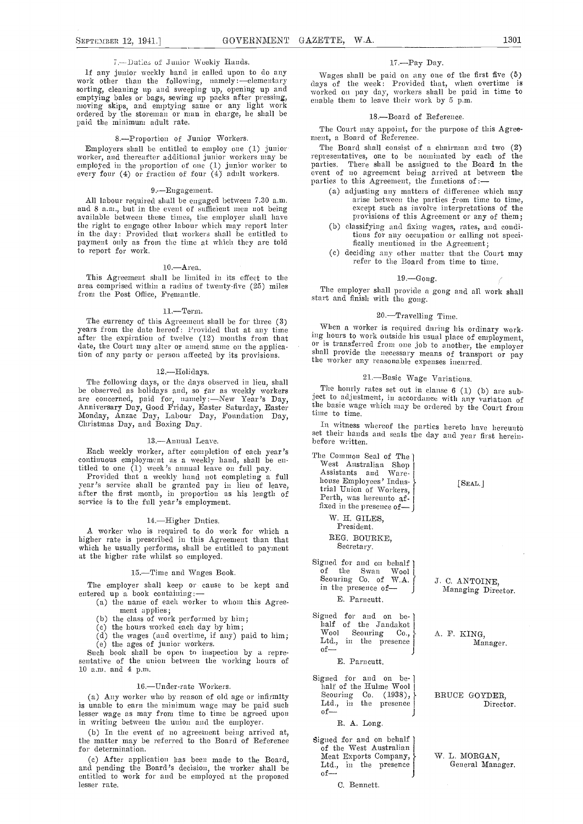#### $7$ .--Duties of Junior Weekly Hands.

If any junior weekly hand is called upon to do any Wages shall be paid on any one of the first five (5) work other than the following, namely :---elementary days of the week: Provided that, when overtime is sorting, cleaning up and sweeping up, opening up and emptying bales or bags, sewing up packs after pressing, moving skips, and emptying same or any light work ordered by the storeman or man in charge, he shall be paid the minimum adult rate.

8.—Proportion of Junior Workers.<br>Employers shall be entitled to employ one (1) junior Employers shall be entitled to employ one (1) junior worker, and thereafter additional junior workers may be employed in the proportion of one (1) junior worker to every four (4) or fraction of four (4) adult workers.

9.—Engagement.<br>All labour required shall be engaged between 7.30 a.m. and 8 a.m., but in the event of sufficient men not being available between these times, the employer shall have the right to engage other labour which may report later in the day: Provided that workers shall be entitled to payment only as from the time at which they are told to report for work.

#### $10 -$ Area.

This Agreement shall be limited in its effect to the area comprised within a radius of twenty-five (25) miles from the Post Office, Fremantle.

11.—Term.<br>The currency of this Agreement shall be for three (3) years from the date hereof: Provided that at any tune When a worker is required during his ordinary work-<br>after the expiration of twelve (12) months from that ing hours to work outside his usual place of employment, after the expiration of twelve (12) months from that date, the Court may alter or amend same on the application of any party or person affected by its provisions.

#### 12.Holidays.

The following days, or the days observed in lieu, shall<br>be observed as holidays and, so far as weekly workers<br>are concerned, paid for, namely:—New Year's Day,<br>Anniversary Day, Good Friday, Easter Saturday, Easter<br>Monday, A

#### 13.-Annual Leave.

Each weekly worker, after completion of each year's continuous employment as a weekly hand, shall be en-<br>titled to one (1) week's annual leave on full pay. Most Australian Shop

titled to one (1) week's annual leave on full pay. Provided that a weekly hand not completing a full year's service shall he granted pay in lieu of leave, after the first month, in proportion as his length of service is to the full year's employment.

#### 14.-Higher Duties.

A worker who is required to do work for which a higher rate is prescribed in this Agreement than that which he usually performs, shall be entitled to payment at the higher rate whilst so employed.

#### 15.-Time and Wages Book.

The employer shall keep or cause to be kept and entered up a book containing:

- (a) the name of each worker to whom this Agreement applies;
	- (b) the class of work performed by  $\lim_{x \to 0}$ ;<br>(c) the hours worked each day by  $\lim_{x \to 0}$ ;
	-
- (c) the hours worked each day by him; (d) the wages (and overtime, if any) paid to him; (e) the ages of junior workers.

Such book shall be open to inspection by a repre-<br>sentative of the union between the working hours of 10 a.m. and 4 p.m.

#### 16.-Under-rate Workers.

(a) Any worker who by reason of old age or infirmity is unable to earn the minimum wage may be paid such  $\frac{L \text{td}}{L \text{d} \cdot \text{d}}$ lesser wage as may from time to time be agreed upon in writing between the union and the employer.

(b) In the event of no agreement being arrived at,<br>the matter may be referred to the Board of Reference Signed for and on behalf<br>for determination. of the West Australian for determination.

(c) After application has been made to the Board,  $\mu$  and pending the Board's decision, the worker shall be  $\mu$  and be employed at the proposed oflesser rate.

#### 17.-Pay Day.

Wages shall be paid on any one of the first five (5) days of the week: Provided that, when overtime is worked on pay day, workers shall be paid in time to enable them to leave their work by 5 p.m.

#### 18.-Board of Reference.

The Court may appoint, for the purpose of this Agreement, a Board of Reference.

The Board shall consist of a chairman and two (2) representatives, one to be nominated by each of the parties. There shall be assigned to the Board in the event of no agreement being arrived at between the parties to this Agreement, the functions of:—

- adjustiug any matters of difference which may arise between the parties from time to time, except such as involve interpretations of the provisions of this Agreement or any of them;
- (b) classifying and fixing wages, rates, and conditions for any occupation or calling not specifically mentioned in the Agreement;
- (c) deciding any other matter that the Court may refer to the Board from time to time.

#### $19 - G$ ong.

The employer shall provide a gong and all work shall start and finish with the gong.

#### 20.-Travelling Time.

When a worker is required during his ordinary workor is transferred from one job to another, the employer shah provide the necessary means of transport or pay the worker any reasonable expenses incurred.

#### 21.-Basic Wage Variations.

The hourly rates set out in clanse  $6$  (1) (b) are subject to adjustment, in accordance with any variation of the basic wage which may be ordered by the Court from

set their hands and seals the day and year first herein-<br>before written.

The Common Seal of The West Australian Shop<br>Assistants and Warehouse Employees' Industrial Union of Workers, Perth, was hereunto affixed in the presence of-W. H. GILES, President. REG. BOURKE, Secretary. Signed for and on behalf

- of the Swan Wool<br>Scouring Co. of W.A. in the presence of-E. Parncutt.
- Signed for and on behalf of the Jandakot<br>Wool Scouring Co., Scouring  $W$ ool Scouring Co., A. F. KING,<br>Ltd., in the presence  $\begin{bmatrix} A & F & KING \\ \text{of} & \text{Man} \end{bmatrix}$ 
	- E. Parncutt.
- Signed for and on behalf of the Hulme Wool Scouring Co.  $(1938)$ , BRUCE GOYDER, Ltd., in the presence Director.
	- R. A. Long.
- Meat Exports Company, W. L. MORGAN, Ltd., in the presence General Manager. Ltd., in the presence

C. Bennett.

[SEAL.]

J. C. ANTOINE, Managing Director.

Manager.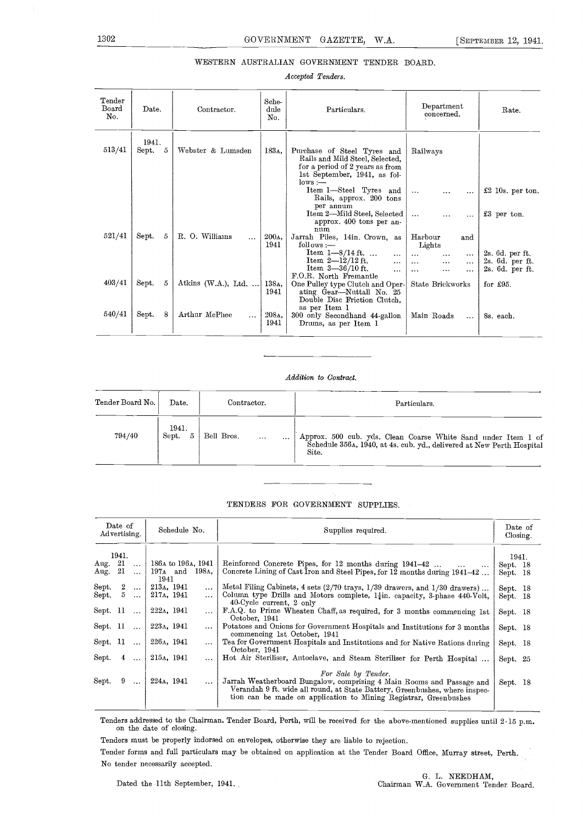### WESTERN AUSTRALIAN GOVERNMENT TENDER BOARD.

#### Accepted Tenders.

| Tender<br>Board<br>No. | Date.                  | Contractor.                | Sche-<br>dule<br>No.     | Particulars.                                                                                                                                   | Department<br>concerned.                                                                                                | Rate.                                                 |
|------------------------|------------------------|----------------------------|--------------------------|------------------------------------------------------------------------------------------------------------------------------------------------|-------------------------------------------------------------------------------------------------------------------------|-------------------------------------------------------|
| 513/41                 | 1941.<br>5<br>$S$ ept. | Webster & Lumsden          | 183 <sub>A</sub> ,       | Purchase of Steel Tyres and<br>Rails and Mild Steel, Selected,<br>for a period of 2 years as from<br>1st September, 1941, as fol-<br>$lows :=$ | Railways                                                                                                                |                                                       |
|                        |                        |                            |                          | Item 1-Steel Tyres and<br>Rails, approx. 200 tons<br>per annum                                                                                 | $\ddotsc$<br>                                                                                                           | $£2$ 10s. per ton.                                    |
|                        |                        |                            |                          | Item 2-Mild Steel, Selected<br>approx. 400 tons per an-<br>num                                                                                 | $\cdots$<br>$\ddotsc$<br>.                                                                                              | £3 per ton.                                           |
| 521/41                 | 5<br>Sept.             | R. O. Williams<br>$\cdots$ | 200 <sub>A</sub><br>1941 | Jarrah Piles, 14in. Crown, as<br>$follows :=$                                                                                                  | Harbour<br>and<br>Lights                                                                                                |                                                       |
|                        |                        |                            |                          | Item $1 - 8/14$ ft.<br>$\cdots$<br>Item $2 - 12/12$ ft.<br>$\ddotsc$<br>Item $3-36/10$ ft.<br>.<br>F.O.R. North Fremantle                      | $\ddotsc$<br>$\cdots$<br>$\cdots$<br>$\cdots$<br>$\ddotsc$<br>$\ddotsc$<br>$\sim$ $\sim$ $\sim$<br>$\cdots$<br>$\cdots$ | 2s. 6d. per ft.<br>2s. 6d. per ft.<br>2s. 6d. per ft. |
| 403/41                 | 5<br>Sept.             | Atkins $(W.A.), Ltd. $     | 138A,<br>1941            | One Pulley type Clutch and Oper-<br>ating Gear-Nuttall No. 25<br>Double Disc Friction Clutch.                                                  | State Brickworks                                                                                                        | for $£95$ .                                           |
| 540/41                 | 8<br>Sept.             | Arthur McPhee<br>$\cdots$  | 208 <sub>A</sub><br>1941 | as per Item 1<br>300 only Secondhand 44-gallon<br>Drums, as per Item 1                                                                         | Main Roads<br>$\cdots$                                                                                                  | 8s. each.                                             |

#### Addition to Contract.

| Tender Board No. | $_{\rm Date.}$ | Contractor. | Particulars.                                                                                                                        |
|------------------|----------------|-------------|-------------------------------------------------------------------------------------------------------------------------------------|
| 794/40           | 1941.          | Bell Bros.  | Approx. 500 cub. yds. Clean Coarse White Sand under Item 1 of Schedule 356a, 1940, at 4s. cub. yd., delivered at New Perth Hospital |
|                  | Sept.          | $\cdots$    | Site.                                                                                                                               |

### TENDERS FOR GOVERNMENT SUPPLIES

|               | Date of<br>Advertising. |           | Schedule No.                                    | Supplies required.                                                                                                                                                                                                                              | Date of<br>Closing. |  |
|---------------|-------------------------|-----------|-------------------------------------------------|-------------------------------------------------------------------------------------------------------------------------------------------------------------------------------------------------------------------------------------------------|---------------------|--|
|               | 1941.                   |           |                                                 |                                                                                                                                                                                                                                                 | 1941.               |  |
| Aug. 21       |                         | $\ddotsc$ | 186a to 196a, 1941                              | Reinforced Concrete Pipes, for 12 months during 1941-42<br>$\cdots$                                                                                                                                                                             | Sept. 18            |  |
| Aug. 21       |                         | $\ddotsc$ | 197 <sub>A</sub> and 198 <sub>A</sub> ,<br>1941 | Concrete Lining of Cast Iron and Steel Pipes, for 12 months during 1941-42                                                                                                                                                                      | Sept. 18            |  |
| Sept. 2       |                         | $\cdots$  | 213A, 1941<br>$\cdots$                          | Metal Filing Cabinets, 4 sets $(2/70$ trays, $1/39$ drawers, and $1/30$ drawers)                                                                                                                                                                | Sept. 18            |  |
| ${\rm Sept.}$ | - 5                     | $\cdots$  | 217A, 1941                                      | Column type Drills and Motors complete, $1\frac{1}{4}$ in. capacity, 3-phase 440-Volt,<br>40-Cycle current, 2 only                                                                                                                              | Sept. 18            |  |
| Sept. 11      |                         | $\ddotsc$ | 222 <sub>A</sub> , 1941                         | F.A.Q. to Prime Wheaten Chaff, as required, for 3 months commencing 1st<br>October, 1941                                                                                                                                                        | Sept. 18            |  |
| Sept. 11      |                         | $\cdots$  | 223A, 1941                                      | Potatoes and Onions for Government Hospitals and Institutions for 3 months<br>commencing 1st October, 1941                                                                                                                                      | Sept. 18            |  |
| Sept. 11      |                         | $\ddotsc$ | 226 <sub>A</sub> , 1941                         | Tea for Government Hospitals and Institutions and for Native Rations during<br>October, 1941                                                                                                                                                    | Sept. 18            |  |
| Sept.         | $\overline{4}$          | $\ddotsc$ | 215A, 1941                                      | Hot Air Steriliser, Autoclave, and Steam Steriliser for Perth Hospital                                                                                                                                                                          | Sept. 25            |  |
| Sept.         | -9                      | $\cdots$  | 224 <sub>A</sub> , 1941                         | For Sale by Tender.<br>Jarrah Weatherboard Bungalow, comprising 4 Main Rooms and Passage and<br>Verandah 9 ft. wide all round, at State Battery, Greenbushes, where inspec-<br>tion can be made on application to Mining Registrar, Greenbushes | Sept. 18            |  |

Tenders addressed to the Chairman. Tender Board, Perth, will be received for the above-mentioned supplies until 2-15 p.m. on the date of closing.

Tenders must be properly indorsed on envelopes, otherwise they are liable to rejection.

Tender forms and full particulars may be obtained on application at the Tender Board Office, Murray street, Perth. No tender necessarily accepted.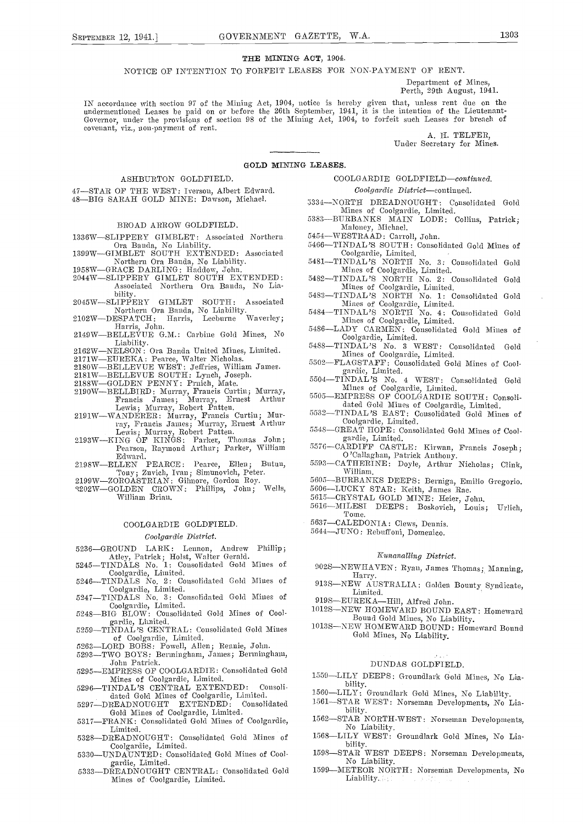#### THE MINING ACT, 1904.

NOTICE OF INTENTION TO FORFEIT LEASES FOR NON-PAYMENT OF RENT.

Department of Mines, Perth, 29th August, 1941.

IN accordance with section 97 of the Mining Act, 1904, notice is hereby given that, unless rent due on the undermentioned Leases be paid on or before the 26th September, 1941, it is the intention of the Lieutenant-Governor covenant, viz., non-payment of rent.

A. H. TELFER, Under Secretary for Mines.

#### GOLD MINING LEASES.

#### ASHBURTON GOLDFIELD.

47-STAR OF THE WEST: Iverson, Albert Edward. 48-BIG SARAH GOLD MINE: Dawson, Michael.

#### BROAD ARROW GOLDFIELD.

- 1336W-SLIPPERY GIMBLET: Associated Northern
- Ora Banda, No Liability.<br>
1399W-GIMBLET SOUTH EXTENDED: Associated<br>
Northern Ora Banda, No Liability.<br>
5481-Northern Ora Banda, No Liability.<br>1958W—GRACE DARLING: Haddow, John.
- 2044W-SLIPPERY GIMLET SOUTH EXTENDED: Associated Northern Ora Banda, No Lia-
- bility. 2045W-SLIPPE1IY GIMLET SOUTH: Associated
- 
- Northern Ora Banda, No Liability. 5484<br>
Harris, Leeburne Waverley; Harris, Leeburne Waverley; Harris, John.<br>
2149W—BELLEVUE G.M.: Carbine Gold Mines, No Liability. 5486
- 2162W-NELSON: Ora Banda United Mines, Limited.
- 217 1WEUREKA: Pearce, Walter Nicholas.
- 2180W—BELLEVUE WEST: Jeffries, William James.
- 2181W—BELLEVUE SOUTH: Lynch, Joseph.<br>2188W—GOLDEN PENNY: Prnich, Mate.
- 
- 2190W—BELLBIRD: Murray, Francis Curtin; Murray, Fiancis James; Murray, Ernest Arthur Lewis; Murray, Robert Patten. 2191WWANDERER: Murray, Francis Curtin; Mur-
- 
- ray, Francis James; Murray, Ernest Arthur<br>Lewis; Murray, Robert Patten. 2193W—KING OF KINGS: Parker, Thomas John; Pearson, Raymond Arthur; Parker, William 5576—CAR Edward. Edward.<br>2198W-ELLEN PEARCE: Pearce, Ellen; Butun,
- 7001 Tony; Zuvich, Ivan; Simunovich, Peter.<br>2199W—ZOROASTRIAN: Gilmore, Gordon Roy.<br>2202W—GOLDEN CROWN· Phillips John: Wells.
- 
- 3202W-GOLDEN CROWN: Phillips, John; William Brian.

#### COOLGARDIE GOLDFIELD.

#### Coolgardie District.

- 5236-GROUND LARK: Lennon, Andrew Phillip; Atley, Patrick; Holst, Walter Gerald. 5245-TINDALS No. 1: Consolidated Gold Mines of
- 
- Coolgardie, Limited.<br>5246—TINDALS No. 2: Consolidated Gold Mines of
- Coolgardie, Limited.<br>5247—TINDALS No. 3: Consolidated Gold Mines of
- Coolgardie, Limited.<br>5248-BIG BLOW: Consolidated Gold Mines of Cool-
- gardie, Lithited.<br>5259-TINDAL'S CENTRAL: Consolidated Gold Mines of Coolgardie, Limited.<br>5263—LORD BOBS: Powell, Allen; Rennie, John.<br>5293—TWO BOYS: Bermingham, James; Berming
- 
- -TWO BOYS: Bermingham, James; Bermingham, .John Patrick.
- 5295-EMPRESS OF COOLGARDIE: Consolidated Gold<br>Mines of Coolgardie, Limited. Mines of Coolgardie, Limited.<br>5296-TINDAL'S CENTRAL EXTENDED: Consoli
- 
- dated Gold Mines of Coolgardie, Limited. 5297DREADNOUGHT EXTENDED: Consolidated Gold Mines of Coolgardie, Limited.
- 5317—FRANK: Consolidated Gold Mines of Coolgardie, Limited.
- 5328-DREADNOUGHT: Consolidated Gold Mines of 1568-Coolgardie, Limited.<br>5330—UNDAUNTED: Consolidated Gold Mines of Cool-
- gardie, Limited.
- 5333-DREADNOUGHT CENTRAL: Consolidated Gold 1599-Mines of Coolgardie, Limited.

COOLGARDIE GOLDFIELD-continued.

Coolgardie District-continued.

- 
- Maloney, Michael.

- 5466-TINDAL'S SOUTH: Consolidated Gold Mines of Coolgardie, Limited.<br>5481—TINDAL'S NORTH No. 3: Consolidated Gold
- Mines of Coolgardie, Limited.<br>5482—TINDAL 'S NORTH No. 2: Consolidated Gold
- Mines of Coolgardie, Limited.
- 5483—TINDAL'S NORTH No. 1: Consolidated Gold Mines of Coolgardie, Limited.<br>TINDAL'S NORTH No. 4: Consolidated Gold
- Mines of Coolgardie, Limited.
- ADY CARMEN: Consolidated Gold Mines of Coolgardie, Limited.
- 548S—TINDAL'S No. 3 WEST: Consolidated Gold<br>Mines of Coolgardie, Limited.
- 5502-FLAGSTAFF: Consolidated Gold Mines of Coolgardie, Limited.
- 5504—TINDAL'S No. 4 WEST: Consolidated Gold<br>Mines of Coolgardie, Limited.
- 5505—EMPRESS OF COOLGARDIE SOUTH: Consolidated Gold Mines of Coolgardie, Limited.
- 5532-TINDAL'S EAST: Consolidated Gold Mines of Coolgardie, Linnted.
- 5548-GREAT HOPE: Consolidated Gold Mines of Cool-
- gardie, Limited.<br>CARDIFF CASTLE: Kirwan, Francis Joseph; 5576—CARDIFF CASTLE: Kirwan, Francis Joseph;<br>O'Callaghan, Patrick Anthony.<br>5593—CATHERINE: Doyle, Arthur Nicholas; Clink,
- William.
- 5605—BURBANKS DEEPS: Berniga, Emilio Gregorio.<br>5606—LUCKY STAR: Keith, James Rae.<br>5615—CRYSTAL GOLD MINE: Heier, John.
- 
- 
- 5616-MILESI DEEPS: Boskovich, Louis; Urlich, Tome.

5637-CALEDONIA: Clews, Dennis.

5644-JUNO: Rebuffoni, Domenico.

#### Kunanalling District.

- 902S—NEWHAVEN: Ryan, James Thomas; Manning,<br>Harry.<br>913S—NEW AUSTRALIA: Golden Bounty Syndicate.
- 913SNEW AUSTRALIA: Golden Bounty Syndicate, Limited.
- 919S-EUREKA-Hill, Alfred John.<br>1012S-NEW HOMEWARD BOUND
- -NEW HOMEWARD BOUND EAST: Homeward Bound Gold Mines, No Liability.
- 1013S-NEW HOMEWARD BOUND: Homeward Bound Gold Mines, No Liability.

#### DUNDAS GOLDFIELD.

- 1559-LILY DEEPS: Groundlark Gold Mines, No Lia- bility.
- 1560—LILY: Groundlark Gold Mines, No Liability.
- 1561—STAR WEST: Norseman Developments, No Lia-<br>bility.
- 1562-STAR NORTH-WEST: Norseman Developments,
- No Liability.<br>
LILY WEST: Groundlark Gold Mines, No Liability.
- 1598-STAR WEST DEEPS: Norseman Developments, No Liability.
- 1599METEOR NORTH: Norsenian Developments, No Liability.
- - 5334-NORTH DREADNOUGHT: Consolidated Gold
	- Mines of Coolgardie, Limited.<br>5383-BURBANKS MAIN LODE: Collins, Patrick;

5454-WESTRAAD: Carroll, John.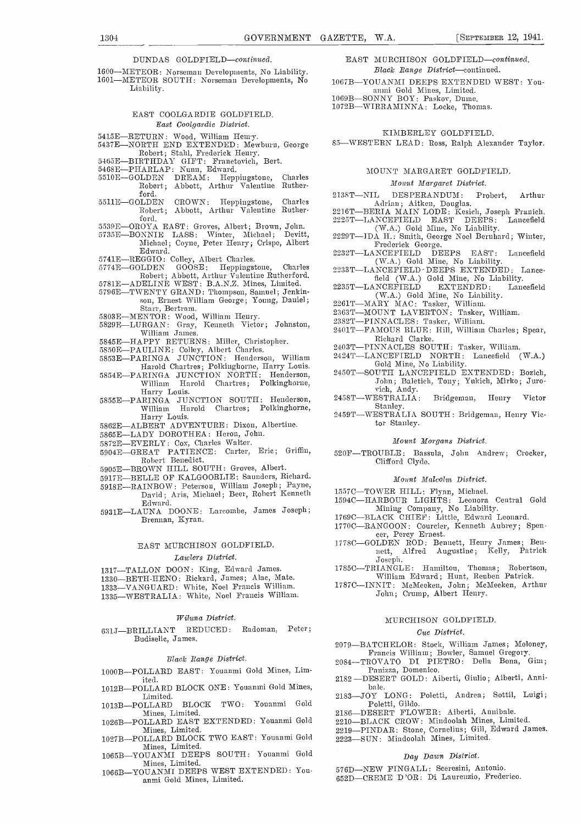DUNDAS GOLDFIELD-continued.

1600—METEOR: Norseman Developments, No Liability. 1601—METEOR SOUTH: Norseman Developments, No Liability.

#### EAST 000LGARDIE GOLDFIELD. East Coolgardie District.

- 
- 3415E—RETURN: Wood, William Henry.<br>5437E—NORTH END EXTENDED: Mewburn, George<br>Robert; Stahl, Frederick Henry.<br>5465E—BIRTHDAY GIFT: Franetovich, Bert.<br>5468E—PHARLAP: Nunn, Edward.
- 
- 
- 5510E-GOLDEN DREAM: Heppingstone, Charles<br>Robert; Abbott, Arthur Valentine Ruther-
- ${\rm foot}$ .  ${\rm 5511E{-}GOLDEN}$ 5511E-GOLDEN CROWN: Heppingstone, Charles<br>Robert; Abbott, Arthur Valentine Ruther- 2
- 
- ford.<br>5539E—OROYA EAST: Groves, Albert; Brown, John.<br>5735E—BONNIE LASS: Winter, Michael; Devitt,
- Michael; Coyne, Peter Henry; Crispe, Albert
- 
- Edward. 5741EREGGIO: Colley, Albert Charles. 5774EGOLDEN GOOSE:I-Ieppingstone, Charles
- Robert; Abbott, Arthur Valentine Rutherford.<br>5781E—ADELINE WEST: B.A.N.Z. Mines, Limited.
- 5796E—TWENTY GRAND: Thompson, Samuel; Jenkin-<br>son, Ernest William George; Young, Daniel;<br>Starr, Bertram.
- 
- 5803E—MENTOR: Wood, William Henry.<br>5829E—LURGAN: Gray, Kenneth Victor; Johnston, William James.
- 5845ET-IAPPY RETURNS: Miller, Christopher. 5850EPAULINE: Colley, Albert Charles. 5853EPARINGA J ONCTION: I{enderson, William
- 
- Harold Chartres; Polkinghorne, Harry Louis.
- 5854E-PARINGA JUNCTION NORTH: Henderson, William Harold Chartres; Polkinghorne,<br>Harry Louis.
- 5855E-PARINGA JUNCTION SOUTH: Henderson,<br>William Harold Chartres; Polkinghorne, William Harold Chartres;<br>Harry Louis.
- 5862E-ALBERT ADVENTURE: Dixon, Albertine.
- 5865E-LADY DOROTHEA: Heron, John.
- 5872E-EVERLY: Cox, Charles Walter.
- 5904E-GREAT PATIENCE: Carter, Eric; Griffin, Robert Benedict.
- 5905E-BROWN HILL SOUTH: Groves, Albert.
- 5917E--BELLE OF KALGOORLTE: Saunders, Richard.
- 5918E-RAINBOW: Peterson, William Joseph; Payne, David; Aris, Michael; Beer, Robert Kenneth
- Edward. 5931ELAUNA DOONE: Larcombe, James Joseph; Brennan, Kyran.

### EAST MURCHISON GOLDFIELD.

#### Lawlers District.

- 
- 1317-TALLON DOON: King, Edward James.<br>1330-BETH-HENO: Rickard, James; Alac, Mate.

1333-VANGUARD: White, Noel Francis William.

1335-WESTRALIA: White, Noel Francis William.

#### Wilwna District.

631J-BRILLIANT REDUCED: Radoman, Peter; Budiselie, James.

#### Black Range District.

1000B-POLLARD EAST: Youanmi Gold Mines, Lim-

- ited.<br>1012B—POLLARD BLOCK ONE: Youanmi Gold Mines,
- Limited.<br>1013B—POLLARD BLOCK TWO: Youanmi Gold Mines, Limited.
- 1026B-POLLARD EAST EXTENDED: Youanmi Gold Mines, Limited.
- 1027B-POLLARD BLOCK TWO EAST: Youanmi Gold<br>Mines, Limited.
- 1065B-YOUANMI DEEPS SOUTH: Youanmi Gold<br>Mines, Limited.
- 1066B-YOUANMI DEEPS WEST EXTENDED: Youanmi Gold Mines, Limited.
- EAST MURCHISON GOLDFIELD-continued. Black Range District-continued.
- 1067B-YOUANMI DEEPS EXTENDED WEST: You-
- anmi Gold Mines, Limited. 1069B-SONNY BOY: Paskov, Duine.
- 1072B-WIRRAMINNA: Locke, Thomas.

### KIMBERLEY GOLDFIELD.

85-WESTERN LEAD: Ross, Ralph Alexander Taylor.

#### MOUNT MARGARET GOLDFIELD.

#### Mount Margaret District.

- 2138T-NIL DESPERANDUM: Probert, Arthur
- Adrian; Aitken, Douglas.<br>2216T—BERIA MAIN LODE: Kesich, Joseph Franich.<br>2225T—LANCEFIELD EAST DEEPS: Lancefield
- (W.A.) Gold Mine, No Liability.<br>
2229T—IDA H.: Smith, George Noel Bernhard; Winter,<br>
Frederick George.<br>
2232T—LANCEFIELD DEEPS EAST: Lancefield (W.A.) Gold Mine, No Liability.
- 
- 2233T-LANCEFIELD DEEPS EXTENDED: Lance-
- field (W.A.) Gold Mine, No Liability.<br>2235T-LANCEFIELD EXTENDED: Lancefield (W.A.) Gold Mine, No Liability.<br>2261T—MARY MAC: Tasker, William.
- 
- 2363T—MOUNT LAVERTON: Tasker, William.
- 2382T-PINNACLES: Tasker, William.
- 2401T-FAMOUS BLUE: Hill, William Charles; Spear, Richard Clarke.<br>2403T—PINNACLES SOUTH: Tasker, William.
- 
- 2424T-LANCEFIELD NORTH: Lancefield (W.A.)
- Gold Mine, No Liability.<br>2450T-SOUTH LANCEFIELD EXTENDED: Bozich, John; Baletich, Tony; Yukich, Mirko; Juro-
- vich, Andy.<br>2458T—WESTRALIA: Bridgeman, Henry Victor
- Stanley. 2459T-WESTRALIA SOUTH: Bridgeman, Henry Victor Stanley.

#### Monnt Morgans District.

520F-TROUBLE: Bassula, John Andrew; Crocker, Clifford Clyde.

#### Mount Malcolm District.

- 
- 1557C—TOWER HILL: Flynn, Michael.<br>1594C—HARBOUR LIGHTS: Leonora Central Gold Mining Company, No Liability.<br>1769C—BLACK CHIEF: Little, Edward Leonard.
- 
- 1770C—RANGOON: Courcier, Kenneth Aubrey; Spen-<br>cer, Percy Ernest.<br>1778C—GOLDEN ROD: Bennett, Henry James; Ben-
- nett, Alfred Augustine; Kelly, Patrick Joseph.<br>1785C—TRIANGLE: Hamilton, Thomas; Robertson,
- William Edward; Hunt, Reuben Patrick.
- 1787C-INNIT: McMeeken, John; McMeeken, Arthur John; Crump, Albert Henry.

#### MURCHISON GOLDFIELD.

#### One District.

- 2079-BATCHELOR: Stock, William James; Moloney, Francis William; Bowler, Samuel Gregory.
- 2084-TROVATO DI PIETRO: Della Bona, Gim;
- Panizza, Domenico. 2182 DESERT GOLD: Aiberti, Giulio; Aiherti, Annibale.
- 2183-JOY LONG: Poletti, Andrea; Sottil, Luigi; Poletti, Gildo.<br>2186—DESERT FLOWER: Aiberti, Annibale.
- 
- 2210-BLACK CROW: Mindoolah Mines, Limited.
- 2219-PINDAR: Stone, Cornelius; Gill, Edward James.
- 2223-SUN: Mindoolah Mines, Limited.

#### Day Dawn District.

- 576D-NEW FINGALL: Sceresini, Antonio.
- 652D-CREME D'OR: Di Laurenzio, Frederico.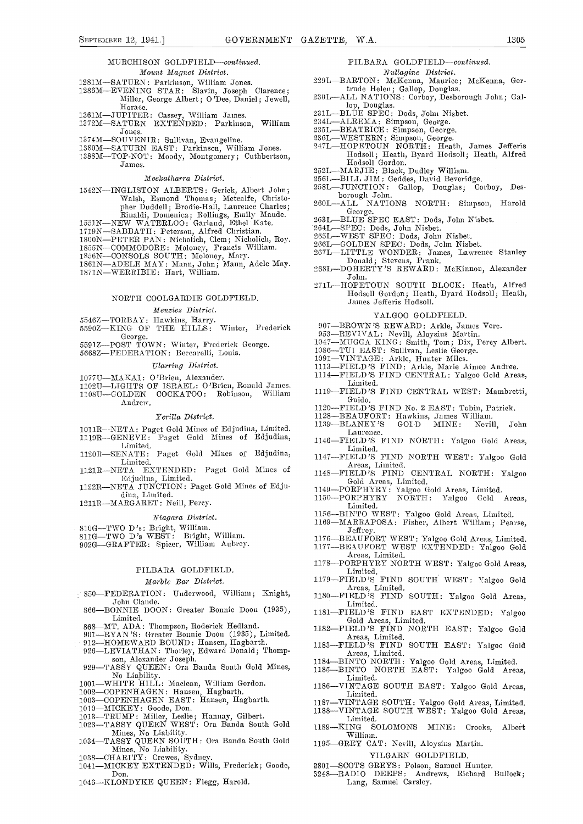#### MURCHISON GOLDFIELD-continued.

- Mount Magnet District.
- 1281M-SATURN: Parkinson, William Jones.
- 1286MEVENING STAR: Slavin, Joseph Clarence; Miller, George Albert; 0 'Dee, Daniel; Jewell,
- 
- Horace. 1361MJIJPITER: Cassey, William James. 137211SATURN EXTENDED: Parkinson, William
- Jones.<br>-SOUVENIR: Sullivan, Evangeline.
- 1374M—SOUVENIR: Sullivan, Evangeline.<br>1380M—SATURN EAST: Parkinson, William Jones.
- 1388M-TOP-NOT: Moody, Montgomery; Cuthbertson, James.

#### Meekatharra District.

- 1542N-INGLISTON ALBERTS: Gerick, Albert John; Walsh, Esmond Thomas; Metcalfe, Christopher Duddell; Brodie-Hall, Laurence Charles;<br>Rinaldi, Domenica; Rollings, Emily Maude.<br>1551N—NEW WATERLOO: Garland, Ethel Kate.
- 
- 1719N-SABBATH: Peterson, Alfred Christian.
- 
- 
- 
- 1800N—PETER PAN: Nicholich, Clem; Nicholich, Roy.<br>1855N—COMMODORE: Moloney, Francis William.<br>1856N—CONSOLS SOUTH: Moloney, Mary.<br>1861N—ADELE MAY: Mann, John; Mann, Adele May.<br>1871N—WERRIBIE: Hart, William.
- 

#### NORTH COOLGARDIE GOLDF1ELD.

#### Menzies District.

- 5546Z-TORBAY: Hawkins, Harry.<br>
5590Z-KING OF THE HILLS: Winter, Frederick 5590Z-BROWN'S REWARD: Arkle, James Vere.<br>
5590Z-KING OF THE HILLS: Winter, Frederick 5591Z-POST TOWN: Winter, Frederick George.<br>
5591Z-POST TOWN: Wi
- George.<br>
5591 Z-POST TOWN: Winter, Frederick George.<br>
5668 Z-FEDERATION: Beccarelli, Louis.
- 

#### Tllarring District.

- 
- 1077U—MAKAI: O'Brien, Alexander.<br>1102U—LIGHTS OF ISRAEL: O'Brien, Ronald James.
- 110811GOLDEN COCKATOO: Robinson, William Andrew.

#### Yerilla District.

- 1011R-NETA: Paget Gold Mines of Edjudina, Limited.<br>1119R-GENEVE: Paget Gold Mines of Edjudina,
- Limited. 1120R-SENATE: Paget Gold Mines of Edjudina,
- Limited.<br>1121R—NETA EXTENDED: Paget Gold Mines of
- 11111 Fajudina, Limited.<br>1122R—NETA JUNCTION: Paget Gold Mines of Edju-
- dina, Limited.
- $_{\rm 1211R-MARGARET:~Neill,~Percy.}$

#### Niagara District.

- 
- 
- 810G—TWO D's: Bright, William.<br>811G—TWO D's WEST: Bright, William.<br>902G—GRAFTER: Spieer, William Aubrey.

## PILBARA GOLDFIELD.

#### Marble Bar District.

- 850-FEDERATION: Underwood, William; Knight, John Claude.
- 866-BONNIE DOON: Greater Bonnie Doon (1935), Limited.
- 
- 868MT. ADA: Thompson, Roderick Hedland. 901RYAN'S: Greater Bonnie Doon (1935), Limited
- 912—HOMEWARD BOUND: Hansen, Hagbarth.<br>926—LEVIATHAN: Thorley, Edward Donald; Thomp-
- 926—LEVIATHAN: Thorley, Edward Donald; Thompson, Alexander Joseph.<br>929—TASSY QUEEN: Ora Banda South Gold Mines,<br>No Liability.
- 
- 
- 
- 
- 
- 
- NO LIADHLEY.<br>
NO LARITE HILL: Maclean, William Gordon.<br>
1002—COPENHAGEN: Hansen, Hagbarth.<br>
1003—COPENHAGEN EAST: Hansen, Hagbarth.<br>
1010—MICKEY: Goode, Don.<br>
1013—TRUMP: Miller, Leslie; Hannay, Gilbert.<br>
1023—TASSY QUEEN Mines, No Liability.<br>1034—TASSY QUEEN SOUTH: Ora Banda South Gold<sub>1195.</sub>
- Mines, No Liability.<br>1038—CHARITY: Crewes, Sydney.<br>1041—MICKEY EXTENDED: Wills, Frederick; Goode,
- 
- Don.
- 1046-KLONDYKE QUEEN: Flegg, Harold.

#### PILBARA GOLDFIELD-continued.

- 
- lVsmllagine District. 229LBAR.TON: MeKenna, Maurice; McKenna, Ger-
- trude Helen; Gallop, Douglas.<br>230L—ALL NATIONS: Corboy, Desborough John; Gal-
- lop, Douglas.<br>231L—BLUE SPEC: Dods, John Nisbet.
- 
- 
- 
- 234L—ALREMA: Simpson, George.<br>235L—BEATRICE: Simpson, George.<br>236L—WESTERN: Simpson, George.<br>247L—HOPETOUN NORTH: Heath, James Jefferis Hodsoll; Heath, Byard Hodsoll; Heath, Alfred Hodsoll Gordon.
- 
- 
- 252L—MARJIE: Black, Dudley William.<br>256L—BILL JIM: Geddes, David Beveridge.<br>258L—JUNCTION: Gallop, Douglas; Corboy, Desborough John.<br>
260L—ALL NATIONS NORTH: Simpson, Harold George.
- 
- 
- 
- 
- 
- George.<br>263L—BLUE SPEC EAST: Dods, John Nisbet.<br>264L—SPEC: Dods, John Nisbet.<br>265L—WEST SPEC: Dods, John Nisbet.<br>266L—GOLDEN SPEC: Dods, John Nisbet.<br>267L—LITTLE WONDER: James, Lawrence Stanley<br>Donald; Stevens, Frank.
- 268L-DOHERTY'S REWARD: McKinnon, Alexander John.
- 271L-HOPETOUN SOUTH BLOCK: Heath, Alfred Hodsoll Gordon; Heath, Byard Hodsoll; Heath, James Jefferis Hodsoll.

#### YALGOO GOLDFIELD.

- 907-BROWN'S REWARD: Arkle, James Vere.
- 
- 
- 
- 
- 
- 1086-TUI EAST: Sullivan, Leslie George.<br>1081-VINTAGE: Arkle, Hunter Miles.<br>1113-FIELD'S FIND: Arkle, Marie Aimee Andree.<br>1114-FIELD'S FIND CENTRAL: Yalgoo Gold Areas,
- Limited. 1119-FIELD'S FIND CENTRAL WEST: Mambretti,
- Guido.<br>1120—FIELD'S FIND No. 2 EAST: Tobin, Patrick.<br>1128—BEAUFORT: Hawkins, James William.<br>1139—BLANEY'S GOLD MINE: Nevill, John
- 
- 
- Laurence.<br>1146—FIELD'S FIND NORTH: Yalgoo Gold Areas,<br>Limited.
- 1147-FIELD'S FIND NORTH WEST: Yalgoo Gold<br>Areas, Limited.<br>1148-FIELD'S FIND CENTRAL NORTH: Yalgoo
- 1149PORPHYRY: Yalgoo Gold Areas, Limited.<br>
1149-PORPHYRY: Yalgoo Gold Areas, Limited.<br>
1150-PORPHYRY NORTH: Yalgoo Gold Areas,
- 
- Limited.<br>-BINTO WEST: Yalgoo Gold Areas, Limited.
- 1169-MARRAPOSA: Fisher, Albert William; Pearse,
- Jeffrey.
- 1176-BEAUFORT WEST: Yalgoo Gold Areas, Limited.<br>1177-BEAUFORT WEST EXTENDED: Yalgoo Gold 117 8PORPI-IYRY NORTH WEST: Yalgoo Gold Areas, Limited.

1180FIELD'S FIND SOUTH: Yalgoo Gold Areas, Limited.<br>1180FIELD'S FIND SOUTH: Yalgoo Gold Areas, Limited.<br>1181FIELD'S FIND EAST EXTENDED: Yalgoo

6010 Areas, Limited. 1182-FIELD'S FIND NORTH EAST: Yalgoo Gold Areas, Limited. 1183-FIELD'S FIND SOUTH EAST: Yalgoo Gold

Areas, Limited.<br>1184—BINTO NORTH: Yalgoo Gold Areas, Limited.<br>1185—BINTO NORTH EAST: Yalgoo Gold Areas,

1186-VINTAGE SOUTH EAST: Yalgoo Gold Areas, Limited. 1187—VINTAGE SOUTH: Yalgoo Gold Areas, Limited.<br>1188—VINTAGE SOUTH WEST: Yalgoo Gold Areas, Limited.

YILGARN GOLDFIELD. 2801-SCOTS GREYS: Polson, Samuel Hunter.<br>3248-RADIO DEEPS: Andrews, Richard Bullock;

1195-GREY CAT: Nevill, Aloysius Martin.

Lang, Samuel Carsley.

SOLOMONS MINE: Crooks, Albert

Limited.

 $\begin{array}{cc}\n 1189 - K\bar{1}NG & \text{S0} \\
 \hline\n \text{William.}\n \end{array}$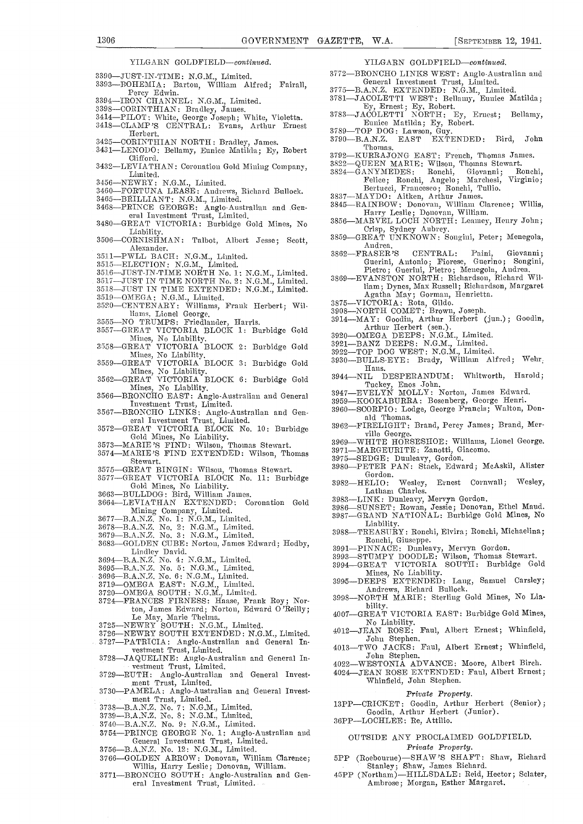YILGARN GOLDFIELD-continued.

- 
- 3390-JUST-IN-TIME: N.G.M., Limited.<br>3393-BOHEMIA: Barton, William Alfred; Fairall, Percy Edwin.<br>
3394—IRON CHANNEL: N.G.M., Limited.
- 
- 
- 3398—CORINTHIAN: Bradley, James. 3414—PILOT: White, George Joseph; White, Violetta. 3783—JACOLETTI NORTH: Ey, Ernest; Be<br>3418—CLAMP'S CENTRAL: Evans, Arthur Ernest Eunice Matilda; Ey, Robert. 3418—CLAMP'S CENTRAL: Evans, A
- Herbert.<br>-CORINTHIAN NORTH: Bradley, James.
- 3425-CORINTHIAN NORTH: Bradley, James.<br>3431-LENODO: Bellamy, Eunice Matilda; Ey, Robert
- Clifford. 3432—LEVIATHAN: Coronation Gold Mining Company, Limited.
- 3456—NEWRY: N.G.M., Limited.
- 3460—FORTUNA LEASE: Andrews, Richard Bullock.
- $3465$ —BRILLIANT: N.G.M., Limited.
- 3468-PRINCE GEORGE: Anglo-Australian and General Investment Trust, Limited.<br>3480-GREAT VICTORIA: Burbidge Gold Mines, No
- 
- Liability.<br>3506—CORNISHMAN: Talbot, Albert Jesse; Scott, Alexander. 351 1PWLL BACH: N.G.M., Limited.
- 
- 3515—ELECTION: N.G.M., Limited.
- 3516—JUST-IN-TIME NORTH No. 1: N.G.M., Limited.
- $3517$ —JUST IN TIME NORTH No. 2: N.G.M., Limited.
- 3518-JUST IN TIME EXTENDED: N.G.M., Limited.
- 3519—OMEGA: N.G.M., Limited.<br>3520—CENTENARY: Williams, Frank Herbert; Wil
- hams, Lionel George.<br>3555—NO TRUMPS: Friedlander, Harris.
- 
- 
- 
- 
- 3557—GREAT VICTORIA BLOCK 1: Burbidge Gold<br>
Mines, No Liability.<br>
3558—GREAT VICTORIA BLOCK 2: Burbidge Gold<br>
3922—<br>
Mines, No Liability.<br>
3559—GREAT VICTORIA BLOCK 3: Burbidge Gold<br>
3930—<br>
Mines, No Liability.<br>
3562—GREAT
- 3567—BRONCHO LINKS: Anglo-Australian and General Investment Trust, Limited.
- 3572GREAT VICTORIA BLOCK No. 10: Burbidge Gold Mines, No Liability. 3573MARIE 'S FIND: Wilson, Thomas Stewart.
- 
- $3574$ —MARIE'S FIND EXTENDED: Wilson, Thomas  $397$ Stewart.
- 3575-GREAT BINGIN: Wilson, Thomas Stewart.<br>3577-GREAT VICTORIA BLOCK No. 11: Burbidge
- 
- 3577—GREAT VICTORIA BLOCK No. 11: Burbidge 3982-<br>3663—BULLDOG: Bird, William James. 3664—LEVIATHAN EXTENDED: Coronation Gold 3983-
- Mining Company, Limited.<br>3677—B.A.N.Z. No. 1: N.G.M., Limited.
- 3678-B.A.N.Z. No. 2: N.G.M., Limited.
- $3679$ --B.A.N.Z. No. 3: N.G.M., Limited.
- 
- Lindley David.<br>3694—B.A.N.Z. No. 4: N.G.M., Limited.
- 
- $3695\text{---}\mathrm{B.A.N.Z.}$  No. 5: N.G.M., Limited.
- 3696—B.A.N.Z. No. 6: N.G.M., Limited.
- $3719$ — $\mathrm{OMEGA}$  EAST: N.G.M., Limited.
- $3720$ —OMEGA SOUTH: N.G.M., Limited.
- 3724-FRANCES FIRNESS: Haase, Frank Roy; Nor-ton, James Edward; Norton, Edward O'Reilly; ton, James Thelma.<br>
19725 - NEWRY SOUTH: N.G.M., Limited.<br>
19726 - NEWRY SOUTH: EXTENDED: N.G.M., Limited.
- 
- 
- 3726—NEWRY SOUTH EXTENDED: N.G.M., Limited. <sup>41</sup><br>3727—PATRICIA: Anglo-Australian and General In- vestment Trust, Limited. 41
- 3728-JAQUELINE: Anglo-Australian and General Investment Trust, Limited.
- 3729—RUTH: Anglo-Australian and General Investmeat Trust, Limited.
- 3730—PAMELA: Anglo-Australian and General Invest-<br>ment Trust, Limited.
- 3738-B.A.N.Z. No. 7: N.G.M., Limited.
- 3739-B.A.N.Z. No. 8: N.G.M., Linnited.
- 3740-B.A.N.Z. No. 9: N.G.M., Limited.
- 3754—PRINCE GEORGE No. 1: Anglo-Australian and General Investment Trust, Limited.
- 3756-B.A.N.Z. No. 12: N.G.M., Limited. 3766-GOLDEN ARROW: Donovan, William Clarence;
- Willis, Harry Leslie; Donovan, William.
- 3771-BRONCHO SOUTH: Anglo-Australian and General Investment Trust, Limited.
- YILGARN GOLDFIELD-continued.
- 3772—BRONCHO LINKS WEST: Anglo-Australian and General Investment Trust, Limited.
- 3775-B.A.N.Z. EXTENDED: N.G.M., Limited.
- 
- By, Ernest; Ey, Robert.<br>
37 Style Bellasny, Eunice Matilda; Ey, Ernest; Bellamy, Eunice Matilda; Ey, Robert.<br>
37839TOP DOG: Lawson, Guy.<br>
3789 B.A.N.Z. EAST EXTENDED: Bird, John
- 
- Thomas.
- 
- 
- 3792—KURRAJONG EAST: French, Thomas James.<br>3822—QUEEN MARIE: Wilson, Thomas Stewart.<br>3824—GANYMEDES: Ronchi, Giovanni; Ronchi, Felice; Ronchi, Angelo; Marchesi, Virginio;<br>Bertucci, Francesco; Ronchi, Tullio. Bertucci, Francesco; Ronchi, Tullio.<br>3837—MAYDO: Aitken, Arthur James.
	-
- 3845—RAINBOW: Donovan, William Clarence; Willis, Harry Leslie; Donovan, William.<br>3856—MARVEL LOCH NORTH: Leamey, Henry John;
- Crisp, Sydney Aubrey.<br>3859—GREAT UNKNOWN: Songini, Peter; Menegola,
- Andrea.<br>3862—FRASER'S CENTRAL: Paini, Giovanni;
- Guerini, Antonio; Fiorese, Guerino; Songini,
- Pietro; Guerini, Pietro; Menegola, Andrea.<br>3869—EVANSTON NORTH: Richardson, Richard Wil-1980 - EVANSTON NORTH: Inches Richardson, Margaret Agatha May; Gorman, Henrietta.<br>
Agatha May; Gorman, Henrietta.<br>
3875—VICTORIA: Rota, Gildo.<br>
3908—NORTH COMET: Brown, Joseph.
	-
- 
- 3914-MAY: Goodin, Arthur Herbert (jun.); Goodin, Arthur Herbert (sen.).<br>3920—OMEGA DEEPS: N.G.M., Limited.<br>3921—BANZ DEEPS: N.G.M., Limited.
- 
- 
- 
- 3922—TOP DOG WEST: N.G.M., Limited.<br>3930—BULLS-EYE: Brady, William Alfred; Wehr. Hans.
- 3944 NIL DESPERANDUM: Whitworth, Harold; Tuckey, Enos John. 3947EVELYN MOLLY: Norton, James Edward.
- 
- 
- 3959-KOOKABURRA: Bosenberg, George Henri.<br>3960-SCORPIO: Lodge, George Francis; Walton, Donald Thomas.
- 3962-FIRELIGHT: Brand, Percy James; Brand, Mer-
- ville George.<br>3969—WHITE HORSESHOE: Williams, Lionel George. 3971—MARGEURITE: Zanotti, Giacomo.
- 
- 3975—SEDGE: Dunleavy, Gordon.<br>3980—PETER PAN: Stack, Edward; McAskil, Alister Gordon.<br>HELIO:
- Wesley, Ernest Cornwall; Wesley,
- Latham Charles.<br>-LINK: Dunleavy, Mervyn Gordon.
	-
- 3983—LINK: Dunleavy, Mervyn Gordon.<br>3986—SUNSET: Rowan, Jessie; Donovan, Ethel Maud.<br>3987—GRAND NATIONAL: Burbidge Gold Mines, No<br>Liability.
- $3988 \text{---} \text{TREASUIRY: Ronchi, Elvira; Ronchi, Michaelina; Ronchi, Giuseppe.}$
- 
- Roupel PINNACE: Dunleavy, Mervyn Gordon.<br>
Romas Stewart. 3993-STUMPY DOODLE: Wilson, Thomas Stewart.<br>
3994-GREAT VICTORIA SOUTH: Burbidge Gold
- Mines, No Liability.<br>3995-DEEPS EXTENDED: Lang, Samuel Carsley;
- Andrews, Richard Bullock.<br>3998-NORTH MARIE: Sterling Gold Mines, No Lia-

bility.<br>4007—GREAT VICTORIA EAST: Burbidge Gold Mines, No Liability.<br>
4012-JEAN ROSE: Faul, Albert Ernest; Whinfield,

John Stephen.<br>
4013—TWO JACKS: Faul, Albert Ernest; Whinfield,<br>
John Stephen.  $4022$ -WESTONIA ADVANCE: Moore, Albert Birch. 4024JEAN ROSE EXTENDED: Paul, Albert Ernest;

Private Property. 13PP-CRICKET: Goodin, Arthur Herbert (Senior); Goodin, Arthur Herbert (Junior).

OUTSIDE ANY PROCLAIMED GOLDPIELD. Private Property.

5PP (Roebourne)-SHAW'S SHAFT: Shaw, Richard Stanley; Shaw, James Richard.<br>
45PP (Northam)—HILLSDALE: Reid, Hector; Sclater, Ambrose; Morgan, Esther Margaret.

Whinfield, John Stephen.

36PP-LOCHLEE: Re, Attilio.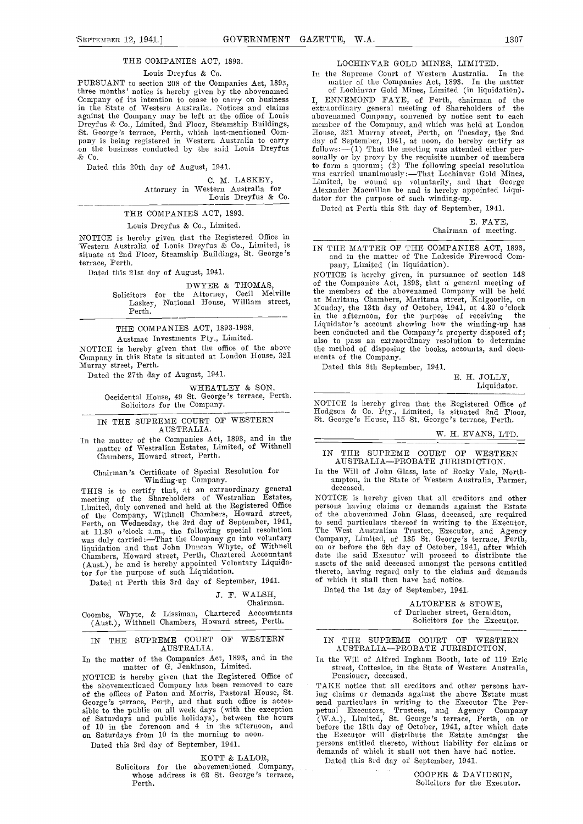#### THE COMPANIES ACT, 1893.

Louis Dreyfus & Co.<br>PURSUANT to section 208 of the Companies Act, 1893, PURSUANT to section 208 of the Companies Act, 1893,<br>three months' notice is hereby given by the abovenamed<br>Company of its intention to cease to carry on business I, E in the State of Western Australia. Notices and claims in the State of Western Australia. Notices and claims<br>against the Company may be left at the office of Louis<br>Dreyfus & Co., Limited, 2nd Floor, Steamship Buildings,<br>St. George's terrace, Perth, which last-mentioned Com-<br>pa  $&$  Co.

Dated this 20th day of August, 1941.

C. M. LASKEY,

#### THE COMPANIES ACT, 1893.

### Louis Dreyfus & Co., Limited.

NOTICE is hereby given that the Registered Office in  $\frac{1}{N}$  Western Australia of Louis Dreyfus & Co., Limited, is  $\frac{1}{N}$  T situate at 2nd Floor, Steamship Buildings, St. George's terrace, Perth.

Dated this 21st day of August, 1941.

#### DWYER & THOMAS,

Solicitors for the Attorney, Cecil Melville Laskey, National House, William street, Perth.

## THE COMPANIES ACT, 1893-1938.

Austmac Investments Pty., Limited.

NOTICE is hereby given that the office of the above the method of disposing<br>Company in this State is situated at London House, 321 ments of the Company. Murray street, Perth.

Dated the 27th day of August, 1941.

WHEATLEY & SON,

Occidental House, 49 St. George's terrace, Perth. Solicitors for the Company.

#### IN THE SUPREME COURT OF WESTERN AUSTRALIA.

In the matter of the Companies Act, 1893, and in the matter of Westralian Estates, Limited, of Withnefl Chambers, Howard street, Perth.

# Chairman's Certificate of Special Resolution for Winding-up Company.

THIS is to certify that, at an extraordinary general dentity of the Shareholders of Westralian Estates, NOTI<br>Limited, duly convened and held at the Registered Office person<br>of the Company, Withnell Chambers, Howard street, liquidation and that John Duncan Whyte, of Withnell<br>Chambers, Howard street, Perth, Chartered Accountant (Aust), be and is hereby appointed Voluntary Liquidator for the purpose of such Liquidation.

Dated at Perth this 3rd day of September, 1941.

### J. F. WALSH,

Chairman.

Coombs, Whyte, & Lissiman, Chartered Accountants (Aust.), Withnell Chambers, Howard street, Perth.

#### IN THE SUPREME COURT OF WESTERN AUSTRALIA.

In the matter of the Companies Act, 1893, and in the matter of G. Jenkinson, Limited.

NOTICE is hereby given that the Registered Office of the abovementioned Company has been removed to care TA of the offices of Paton and Morris, Pastoral House, St. George's terrace, Perth, and that such office is acces-<br>George's terrace, Perth, and that such office is acces-<br>sible to the public on all week days (with the excepti sible to the public on all week days (with the exception of Saturdays and public holidays), between the hours (W. Or 10 in the forenoon and 4 in the afternoon, and before on Saturdays from 10 in the morning to noon. the

Dated this 3rd day of September, 1941.

KOTT & LALOR,

Solicitors for the abovementioned Company, whose address is 62 St. George's terrace, Perth.

#### LOCHINVAR GOLD MINES, LIMITED.

In the Supreme Court of Western Australia. In the

C. M. LASKEY,<br>
Mond up voluntarily, and that George<br>
Attorney in Western Australia for<br>
Louis Dreyfus & Co.<br>
dator for the purpose of such winding-up.<br>
Louis Dreyfus & Co.<br>
dator for the purpose of such winding-up. matter of the Companies Act, 1893. In the matter of Lochiavar Gold Mines, Limited (in liquidation). I, ENNEMOND FAYE, of Perth, chairman of the extraordinary general nieeting of Shareholders of the abovenarned Company, convened by notice sent to each member of the Company, and which was held at London<br>House, 321 Murray street, Perth, on Tuesday, the 2nd day of September, 1941, at noon, do hereby certify as follows:--(1) That the meeting was attended either per- sonally or by proxy by the requisite number of members to form a quorum; (2) The following special resolution<br>was carried unanimously:—That Lochinvar Gold Mines,<br>Limited, be wound up voluntarily, and that George<br>Alexander Macmillan be and is hereby appointed Liquidator for the purpose of such winding-up.

Dated at Perth this 8th day of September, 1941.

E. FAYE, Chairman of meeting.

IN THE MATTER OF THE COMPANIES ACT, 1893, and in the matter of The Lakeside Firewood Company, Limited (in liquidation).

NOTICE is hereby given, in pursuance of section 148 of the Companies Act, 1893, that a general meeting of the members of the abovenamed Company will be held at Maritana Chambers, Maritana street, Kalgoorlie, on Monday, the 13th day of October, 1941, at 4.30 o'clock in the afternoon, for the purpose of receiving the Liquidator's account showing how the winding-up has Liquidator's account showing how the winding-up has been conducted and the Company's property disposed of;<br>also to pass an extraordinary resolution to determine the method of disposing the books, accounts, and docu- nients of the Company.

Dated this 8th September, 1941.

E. H. JOLLY, Liquidator.

NOTICE is hereby given that the Registered Office of Hodgson & Co. Pty., Limited, is situated 2nd Floor, St. George's House, 115 St. George's terrace, Perth.

#### W. H. EVANS, LTD.

#### IN THE SUPREME COURT OF WESTERN AUSTRALIA-PROBATE JURISDICTION.

In the Will of John Glass, late of Rocky Vale, North- ampton, in the State of Western Australia, Farmer,

deceased.<br>NOTICE is hereby given that all creditors and other persons having claims or demands against the Estate of the abovenamed John Glass, deceased, are required to send particulars thereof in writing to the Executor, The West Australian Trustee, Executor, and Agency<br>Company, Limited, of 135 St. George's terrace, Perth,<br>on or before the 6th day of October, 1941, after which date the said Executor will proceed to distribute the assets of the said deceased amongst the persons entitled thereto, having regard only to the claims and demands of which it shall then have had notice.

Dated the 1st day of September, 1941.

ALTORFER & STOWE, of Durlacher street, Geraldton, Solicitors for the Executor.

#### IN THE SUPREME COURT OF WESTERN AUSTRALIA-PROBATE JURISDICTION.

In the Will of Alfred Ingham Booth, late of 119 Eric street, Cottesloe, in the State of Western Australia, Pensioner, deceased.

TAKE notice that all creditors and other persons having claims or demands against the above Estate must ing claims or demands against the above Estate must<br>send particulars in writing to the Executor The Per-<br>petual Executors, Trustees, and Agency Compan**y** (W.A.), Limited, St. George's terrace, Perth, on or before the 13th day of Octobem, 1941, after which date the Executor will distribute the Estate amongst the persons entitled thereto, without liability for claims or demands of which it shall not then have had notice. Dated this 3rd day of September, 1941.

COOPER & DAVIDSON,

Solicitors for the Executor.